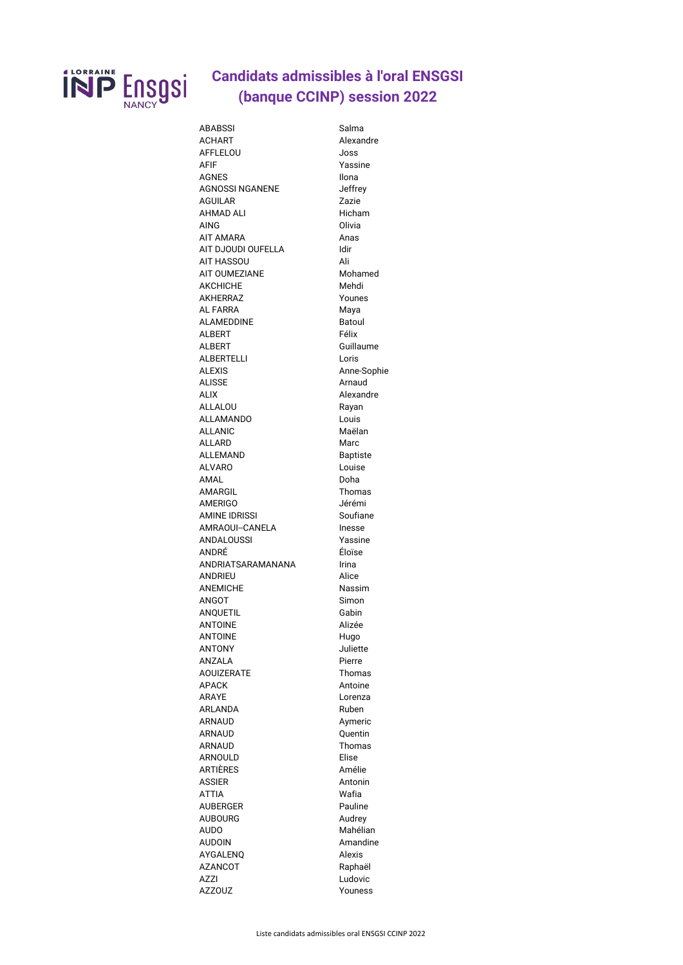

## **Candidats admissibles à l'oral ENSGSI** (banque CCINP) session 2022

| <b>ABABSSI</b>         | Salma           |
|------------------------|-----------------|
| <b>ACHART</b>          | Alexandre       |
| <b>AFFLELOU</b>        | Joss            |
| <b>AFIF</b>            | Yassine         |
| <b>AGNES</b>           | <b>Ilona</b>    |
| <b>AGNOSSI NGANENE</b> | Jeffrey         |
|                        |                 |
| <b>AGUILAR</b>         | Zazie           |
| <b>AHMAD ALI</b>       | Hicham          |
| <b>AING</b>            | Olivia          |
| <b>AIT AMARA</b>       | Anas            |
| AIT DJOUDI OUFELLA     | Idir            |
| <b>AIT HASSOU</b>      | Ali             |
| <b>AIT OUMEZIANE</b>   | Mohamed         |
| <b>AKCHICHE</b>        | Mehdi           |
|                        |                 |
| <b>AKHERRAZ</b>        | Younes          |
| <b>AL FARRA</b>        | Maya            |
| <b>ALAMEDDINE</b>      | <b>Batoul</b>   |
| <b>ALBERT</b>          | Félix           |
| <b>ALBERT</b>          | Guillaume       |
| <b>ALBERTELLI</b>      | Loris           |
| <b>ALEXIS</b>          | Anne-Sophie     |
| <b>ALISSE</b>          | Arnaud          |
|                        |                 |
| <b>ALIX</b>            | Alexandre       |
| <b>ALLALOU</b>         | Rayan           |
| <b>ALLAMANDO</b>       | Louis           |
| <b>ALLANIC</b>         | Maëlan          |
| <b>ALLARD</b>          | Marc            |
| <b>ALLEMAND</b>        | <b>Baptiste</b> |
| <b>ALVARO</b>          | Louise          |
|                        |                 |
| AMAL                   | Doha            |
| <b>AMARGIL</b>         | Thomas          |
| <b>AMERIGO</b>         | Jérémi          |
| <b>AMINE IDRISSI</b>   | Soufiane        |
| <b>AMRAOUI--CANELA</b> | Inesse          |
| <b>ANDALOUSSI</b>      | Yassine         |
| ANDRÉ                  | Éloïse          |
|                        |                 |
| ANDRIATSARAMANANA      | <b>Irina</b>    |
| <b>ANDRIEU</b>         | Alice           |
| <b>ANEMICHE</b>        | Nassim          |
| ANGOT                  |                 |
|                        | Simon           |
|                        | Gabin           |
| <b>ANQUETIL</b>        |                 |
| <b>ANTOINE</b>         | Alizée          |
| <b>ANTOINE</b>         | Hugo            |
| <b>ANTONY</b>          | Juliette        |
| <b>ANZALA</b>          | Pierre          |
| <b>AOUIZERATE</b>      | <b>Thomas</b>   |
| <b>APACK</b>           | Antoine         |
| <b>ARAYE</b>           | Lorenza         |
|                        |                 |
| <b>ARLANDA</b>         | Ruben           |
| <b>ARNAUD</b>          | Aymeric         |
| <b>ARNAUD</b>          | Quentin         |
| <b>ARNAUD</b>          | Thomas          |
| <b>ARNOULD</b>         | Elise           |
| ARTIÈRES               | Amélie          |
| ASSIER                 | Antonin         |
| <b>ATTIA</b>           | Wafia           |
|                        |                 |
| <b>AUBERGER</b>        | Pauline         |
| <b>AUBOURG</b>         | Audrey          |
| <b>AUDO</b>            | Mahélian        |
| <b>AUDOIN</b>          | Amandine        |
| <b>AYGALENQ</b>        | <b>Alexis</b>   |
| <b>AZANCOT</b>         | Raphaël         |
| <b>AZZI</b>            | Ludovic         |
| <b>AZZOUZ</b>          | Youness         |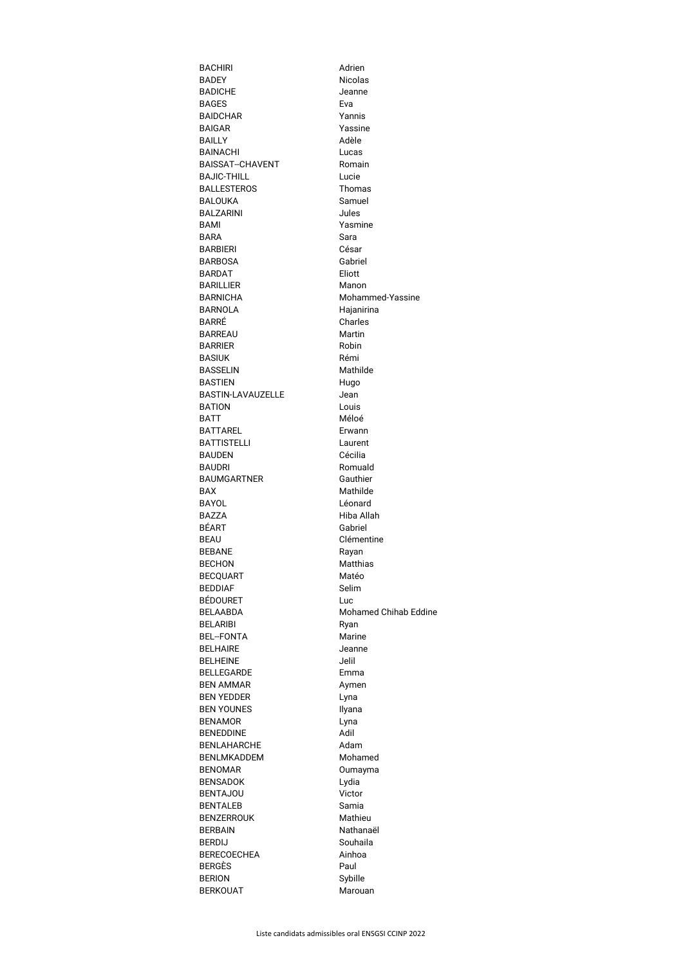| <b>BACHIRI</b>                      | Adrien                       |
|-------------------------------------|------------------------------|
| <b>BADEY</b>                        | <b>Nicolas</b>               |
| <b>BADICHE</b>                      | Jeanne                       |
| <b>BAGES</b>                        | Eva                          |
| <b>BAIDCHAR</b>                     | Yannis                       |
| <b>BAIGAR</b>                       | Yassine                      |
| <b>BAILLY</b>                       | Adèle                        |
| <b>BAINACHI</b>                     | Lucas                        |
| <b>BAISSAT--CHAVENT</b>             | Romain                       |
| <b>BAJIC-THILL</b>                  | Lucie                        |
| <b>BALLESTEROS</b><br>BALOUKA       | <b>Thomas</b><br>Samuel      |
| <b>BALZARINI</b>                    | Jules                        |
| BAMI                                | Yasmine                      |
| <b>BARA</b>                         | Sara                         |
| <b>BARBIERI</b>                     | César                        |
| <b>BARBOSA</b>                      | Gabriel                      |
| <b>BARDAT</b>                       | Eliott                       |
| <b>BARILLIER</b>                    | Manon                        |
| <b>BARNICHA</b>                     | Mohammed-Yassine             |
| <b>BARNOLA</b>                      | Hajanirina                   |
| BARRÉ                               | <b>Charles</b>               |
| <b>BARREAU</b>                      | <b>Martin</b>                |
| <b>BARRIER</b>                      | Robin                        |
| <b>BASIUK</b>                       | Rémi                         |
| <b>BASSELIN</b>                     | Mathilde                     |
| <b>BASTIEN</b>                      | Hugo                         |
| <b>BASTIN-LAVAUZELLE</b>            | Jean                         |
| <b>BATION</b>                       | Louis                        |
| <b>BATT</b>                         | Méloé                        |
| <b>BATTAREL</b>                     | Erwann                       |
| <b>BATTISTELLI</b>                  | Laurent                      |
| <b>BAUDEN</b>                       | Cécilia                      |
| <b>BAUDRI</b><br><b>BAUMGARTNER</b> | Romuald<br>Gauthier          |
| <b>BAX</b>                          | Mathilde                     |
| <b>BAYOL</b>                        | Léonard                      |
| <b>BAZZA</b>                        | Hiba Allah                   |
| BÉART                               | Gabriel                      |
| <b>BEAU</b>                         | Clémentine                   |
| <b>BEBANE</b>                       | Rayan                        |
| <b>BECHON</b>                       | <b>Matthias</b>              |
| <b>BECQUART</b>                     | Matéo                        |
| <b>BEDDIAF</b>                      | Selim                        |
| BÉDOURET                            | Luc                          |
| <b>BELAABDA</b>                     | <b>Mohamed Chihab Eddine</b> |
| <b>BELARIBI</b>                     | Ryan                         |
| <b>BEL--FONTA</b>                   | <b>Marine</b>                |
| <b>BELHAIRE</b>                     | Jeanne                       |
| <b>BELHEINE</b>                     | Jelil                        |
| <b>BELLEGARDE</b>                   | Emma                         |
| <b>BEN AMMAR</b>                    | Aymen                        |
| <b>BEN YEDDER</b>                   | Lyna                         |
| <b>BEN YOUNES</b><br><b>BENAMOR</b> | Ilyana                       |
| <b>BENEDDINE</b>                    | Lyna<br>Adil                 |
| <b>BENLAHARCHE</b>                  | Adam                         |
| <b>BENLMKADDEM</b>                  | Mohamed                      |
| <b>BENOMAR</b>                      | Oumayma                      |
| <b>BENSADOK</b>                     | Lydia                        |
| <b>BENTAJOU</b>                     | Victor                       |
| <b>BENTALEB</b>                     | Samia                        |
| <b>BENZERROUK</b>                   | Mathieu                      |
| <b>BERBAIN</b>                      | Nathanaël                    |
| <b>BERDIJ</b>                       | Souhaila                     |
| <b>BERECOECHEA</b>                  | Ainhoa                       |
| <b>BERGÈS</b>                       | Paul                         |
| <b>BERION</b>                       | Sybille                      |
| <b>BERKOUAT</b>                     | Marouan                      |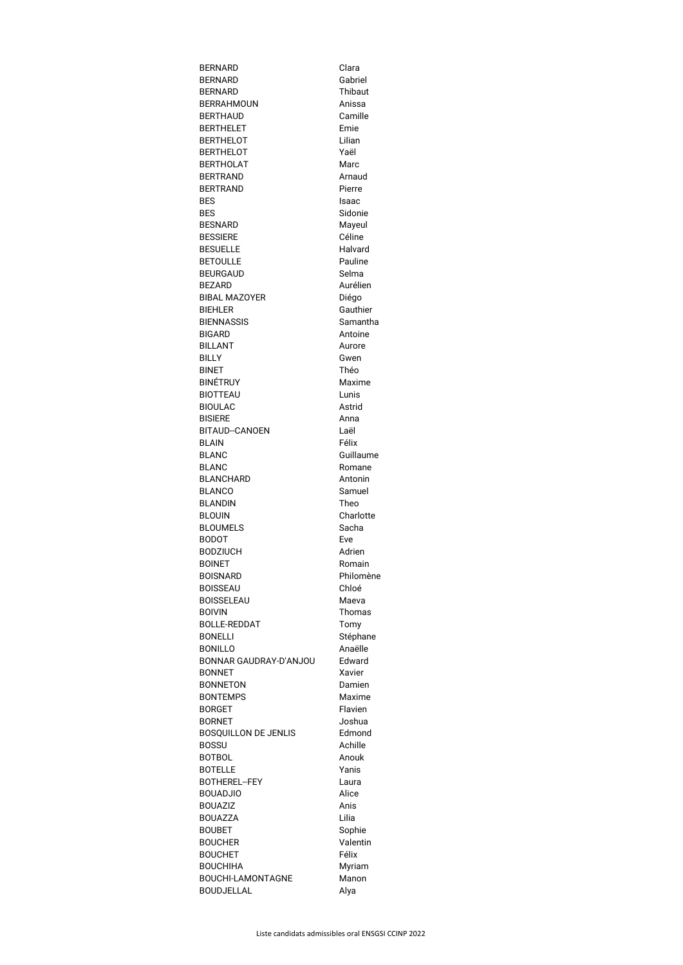| <b>BERNARD</b>                   | Clara          |
|----------------------------------|----------------|
| <b>BERNARD</b>                   | Gabriel        |
| <b>BERNARD</b>                   | <b>Thibaut</b> |
| <b>BERRAHMOUN</b>                | Anissa         |
| <b>BERTHAUD</b>                  | Camille        |
| <b>BERTHELET</b>                 | Emie           |
| <b>BERTHELOT</b>                 | Lilian         |
| <b>BERTHELOT</b>                 | Yaël           |
| <b>BERTHOLAT</b>                 | Marc           |
| <b>BERTRAND</b>                  | Arnaud         |
| <b>BERTRAND</b>                  | Pierre         |
| <b>BES</b>                       | Isaac          |
| <b>BES</b>                       | Sidonie        |
| <b>BESNARD</b>                   | Mayeul         |
| <b>BESSIERE</b>                  | Céline         |
| <b>BESUELLE</b>                  | Halvard        |
| <b>BETOULLE</b>                  | Pauline        |
| <b>BEURGAUD</b>                  | Selma          |
| <b>BEZARD</b>                    | Aurélien       |
| <b>BIBAL MAZOYER</b>             | Diégo          |
| <b>BIEHLER</b>                   | Gauthier       |
| <b>BIENNASSIS</b>                | Samantha       |
| <b>BIGARD</b>                    | Antoine        |
| <b>BILLANT</b>                   | Aurore         |
| <b>BILLY</b>                     | Gwen           |
| <b>BINET</b>                     | Théo           |
| <b>BINÉTRUY</b>                  | Maxime         |
| <b>BIOTTEAU</b>                  | Lunis          |
| <b>BIOULAC</b>                   | Astrid         |
| <b>BISIERE</b>                   | Anna           |
| <b>BITAUD--CANOEN</b>            | Laël           |
| <b>BLAIN</b>                     | Félix          |
| <b>BLANC</b>                     | Guillaume      |
| <b>BLANC</b>                     | Romane         |
| <b>BLANCHARD</b>                 | Antonin        |
| <b>BLANCO</b>                    | Samuel         |
| <b>BLANDIN</b>                   | Theo           |
| <b>BLOUIN</b>                    | Charlotte      |
| <b>BLOUMELS</b>                  | Sacha          |
| <b>BODOT</b>                     | Eve<br>Adrien  |
| <b>BODZIUCH</b><br><b>BOINET</b> | Romain         |
| <b>BOISNARD</b>                  | Philomène      |
| <b>BOISSEAU</b>                  | Chloé          |
| <b>BOISSELEAU</b>                | Maeva          |
| <b>BOIVIN</b>                    | Thomas         |
| <b>BOLLE-REDDAT</b>              | Tomy           |
| <b>BONELLI</b>                   | Stéphane       |
| <b>BONILLO</b>                   | Anaëlle        |
| BONNAR GAUDRAY-D'ANJOU           | Edward         |
| <b>BONNET</b>                    | Xavier         |
| <b>BONNETON</b>                  | Damien         |
| <b>BONTEMPS</b>                  | Maxime         |
| <b>BORGET</b>                    | Flavien        |
| <b>BORNET</b>                    | Joshua         |
| <b>BOSQUILLON DE JENLIS</b>      | Edmond         |
| <b>BOSSU</b>                     | Achille        |
| <b>BOTBOL</b>                    | Anouk          |
| <b>BOTELLE</b>                   | Yanis          |
| <b>BOTHEREL--FEY</b>             | Laura          |
| <b>BOUADJIO</b>                  | Alice          |
| <b>BOUAZIZ</b>                   | Anis           |
| <b>BOUAZZA</b>                   | Lilia          |
| <b>BOUBET</b>                    | Sophie         |
| <b>BOUCHER</b>                   | Valentin       |
| <b>BOUCHET</b>                   | Félix          |
| <b>BOUCHIHA</b>                  | Myriam         |
| <b>BOUCHI-LAMONTAGNE</b>         | Manon          |
| <b>BOUDJELLAL</b>                | Alya           |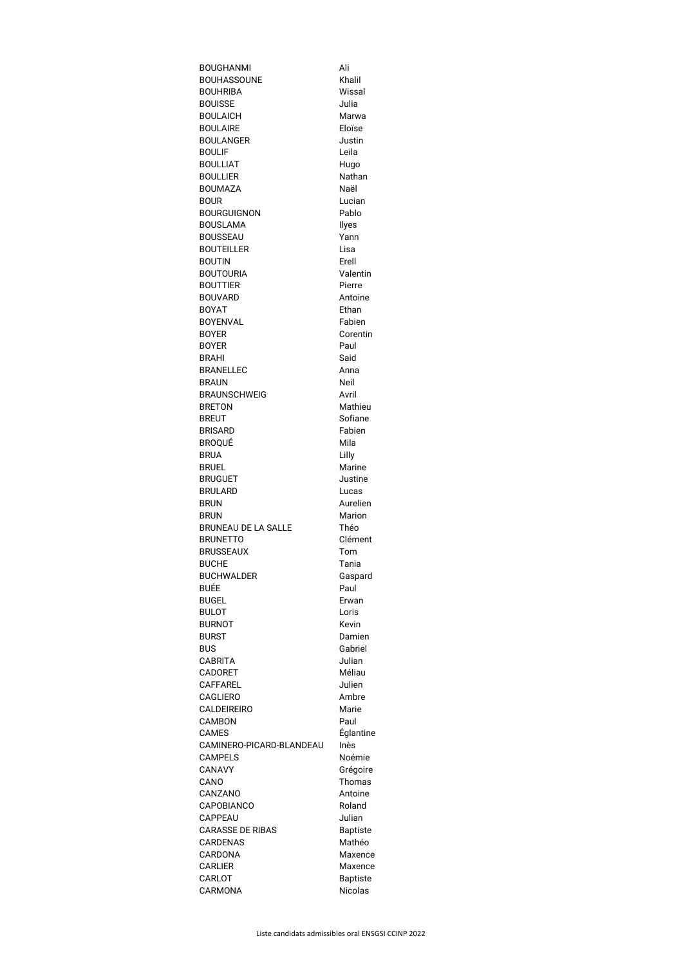| <b>BOUGHANMI</b>                     | Ali                               |
|--------------------------------------|-----------------------------------|
| <b>BOUHASSOUNE</b>                   | Khalil                            |
| <b>BOUHRIBA</b>                      | Wissal                            |
| <b>BOUISSE</b>                       | Julia                             |
| <b>BOULAICH</b>                      | Marwa                             |
| <b>BOULAIRE</b>                      | Eloïse                            |
| <b>BOULANGER</b><br><b>BOULIF</b>    | Justin<br>Leila                   |
| <b>BOULLIAT</b>                      |                                   |
| <b>BOULLIER</b>                      | Hugo<br>Nathan                    |
| <b>BOUMAZA</b>                       | Naël                              |
| <b>BOUR</b>                          | Lucian                            |
| <b>BOURGUIGNON</b>                   | Pablo                             |
| <b>BOUSLAMA</b>                      | Ilyes                             |
| <b>BOUSSEAU</b>                      | Yann                              |
| <b>BOUTEILLER</b>                    | Lisa                              |
| <b>BOUTIN</b>                        | Erell                             |
| <b>BOUTOURIA</b>                     | Valentin                          |
| <b>BOUTTIER</b>                      | Pierre                            |
| <b>BOUVARD</b>                       | Antoine                           |
| <b>BOYAT</b>                         | Ethan                             |
| <b>BOYENVAL</b>                      | Fabien                            |
| <b>BOYER</b>                         | Corentin                          |
| <b>BOYER</b>                         | Paul                              |
| <b>BRAHI</b>                         | Said                              |
| <b>BRANELLEC</b>                     | Anna                              |
| <b>BRAUN</b>                         | <b>Neil</b>                       |
| <b>BRAUNSCHWEIG</b><br><b>BRETON</b> | Avril                             |
| <b>BREUT</b>                         | Mathieu<br>Sofiane                |
| <b>BRISARD</b>                       | Fabien                            |
| BROQUÉ                               | Mila                              |
| <b>BRUA</b>                          | Lilly                             |
| <b>BRUEL</b>                         | <b>Marine</b>                     |
| <b>BRUGUET</b>                       | Justine                           |
| <b>BRULARD</b>                       | Lucas                             |
| <b>BRUN</b>                          | Aurelien                          |
| <b>BRUN</b>                          | <b>Marion</b>                     |
| <b>BRUNEAU DE LA SALLE</b>           | Théo                              |
| <b>BRUNETTO</b>                      | Clément                           |
| <b>BRUSSEAUX</b>                     | Tom                               |
| <b>BUCHE</b>                         | Tania                             |
| <b>BUCHWALDER</b>                    | Gaspard                           |
| BUÉE                                 | Paul                              |
| <b>BUGEL</b>                         | Erwan                             |
| <b>BULOT</b>                         | Loris                             |
| <b>BURNOT</b>                        | <b>Kevin</b>                      |
| <b>BURST</b><br><b>BUS</b>           | Damien<br>Gabriel                 |
| <b>CABRITA</b>                       | Julian                            |
| <b>CADORET</b>                       | Méliau                            |
| <b>CAFFAREL</b>                      | Julien                            |
| <b>CAGLIERO</b>                      | Ambre                             |
| <b>CALDEIREIRO</b>                   | Marie                             |
| <b>CAMBON</b>                        | Paul                              |
| <b>CAMES</b>                         | <b>Églantine</b>                  |
| CAMINERO-PICARD-BLANDEAU             | Inès                              |
| <b>CAMPELS</b>                       | Noémie                            |
| <b>CANAVY</b>                        | Grégoire                          |
| CANO                                 | Thomas                            |
| CANZANO                              | Antoine                           |
| <b>CAPOBIANCO</b>                    | Roland                            |
| CAPPEAU                              | Julian                            |
| <b>CARASSE DE RIBAS</b>              | <b>Baptiste</b>                   |
| <b>CARDENAS</b>                      | Mathéo                            |
| CARDONA                              | Maxence                           |
| <b>CARLIER</b><br>CARLOT             | Maxence                           |
|                                      |                                   |
| CARMONA                              | <b>Baptiste</b><br><b>Nicolas</b> |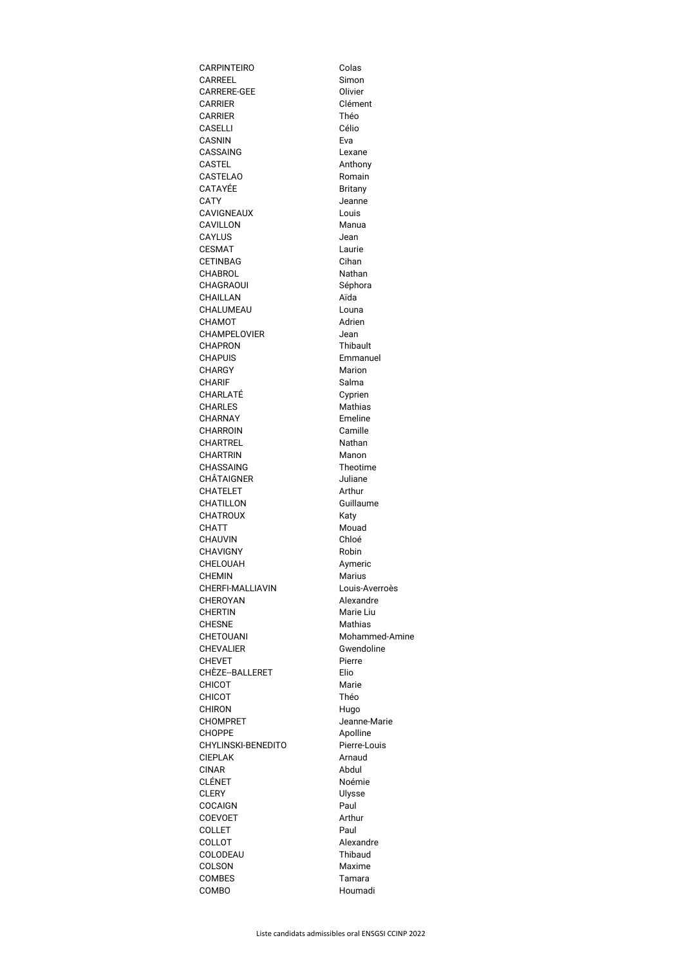| <b>CARPINTEIRO</b>                          | Colas                  |
|---------------------------------------------|------------------------|
| <b>CARREEL</b>                              | Simon                  |
| <b>CARRERE-GEE</b>                          | Olivier                |
| <b>CARRIER</b>                              | Clément                |
| <b>CARRIER</b>                              | Théo                   |
| <b>CASELLI</b><br><b>CASNIN</b>             | Célio<br>Eva           |
| <b>CASSAING</b>                             | Lexane                 |
| <b>CASTEL</b>                               | Anthony                |
| <b>CASTELAO</b>                             | Romain                 |
| <b>CATAYÉE</b>                              | <b>Britany</b>         |
| <b>CATY</b>                                 | Jeanne                 |
| <b>CAVIGNEAUX</b>                           | Louis                  |
| <b>CAVILLON</b>                             | Manua                  |
| <b>CAYLUS</b>                               | Jean                   |
| <b>CESMAT</b>                               | Laurie                 |
| <b>CETINBAG</b>                             | Cihan                  |
| <b>CHABROL</b>                              | Nathan                 |
| <b>CHAGRAOUI</b>                            | Séphora<br>Aïda        |
| <b>CHAILLAN</b><br>CHALUMEAU                | Louna                  |
| <b>CHAMOT</b>                               | Adrien                 |
| <b>CHAMPELOVIER</b>                         | Jean                   |
| <b>CHAPRON</b>                              | <b>Thibault</b>        |
| <b>CHAPUIS</b>                              | Emmanuel               |
| CHARGY                                      | Marion                 |
| <b>CHARIF</b>                               | Salma                  |
| CHARLATÉ                                    | Cyprien                |
| <b>CHARLES</b>                              | <b>Mathias</b>         |
| <b>CHARNAY</b>                              | Emeline                |
| <b>CHARROIN</b>                             | Camille                |
| <b>CHARTREL</b>                             | Nathan                 |
| <b>CHARTRIN</b><br><b>CHASSAING</b>         | Manon<br>Theotime      |
| <b>CHÂTAIGNER</b>                           | Juliane                |
| <b>CHATELET</b>                             | Arthur                 |
| <b>CHATILLON</b>                            | Guillaume              |
| <b>CHATROUX</b>                             | Katy                   |
| <b>CHATT</b>                                | Mouad                  |
| <b>CHAUVIN</b>                              | Chloé                  |
| <b>CHAVIGNY</b>                             | Robin                  |
| <b>CHELOUAH</b>                             | Aymeric                |
| <b>CHEMIN</b>                               | <b>Marius</b>          |
| <b>CHERFI-MALLIAVIN</b>                     | Louis-Averroès         |
| <b>CHEROYAN</b><br><b>CHERTIN</b>           | Alexandre<br>Marie Liu |
| <b>CHESNE</b>                               | <b>Mathias</b>         |
| CHETOUANI                                   | Mohammed-Amine         |
| <b>CHEVALIER</b>                            | Gwendoline             |
| <b>CHEVET</b>                               | Pierre                 |
| CHÈZE--BALLERET                             | Elio                   |
| <b>CHICOT</b>                               | Marie                  |
| <b>CHICOT</b>                               | Théo                   |
| <b>CHIRON</b>                               | Hugo                   |
| <b>CHOMPRET</b>                             | Jeanne-Marie           |
| <b>CHOPPE</b>                               | Apolline               |
| <b>CHYLINSKI-BENEDITO</b><br><b>CIEPLAK</b> | Pierre-Louis<br>Arnaud |
| <b>CINAR</b>                                | Abdul                  |
| <b>CLÉNET</b>                               | Noémie                 |
| <b>CLERY</b>                                | Ulysse                 |
| <b>COCAIGN</b>                              | Paul                   |
| <b>COEVOET</b>                              | Arthur                 |
| <b>COLLET</b>                               | Paul                   |
| <b>COLLOT</b>                               | Alexandre              |
| <b>COLODEAU</b>                             | <b>Thibaud</b>         |
| COLSON                                      | Maxime                 |
| <b>COMBES</b>                               | Tamara                 |
| <b>COMBO</b>                                | Houmadi                |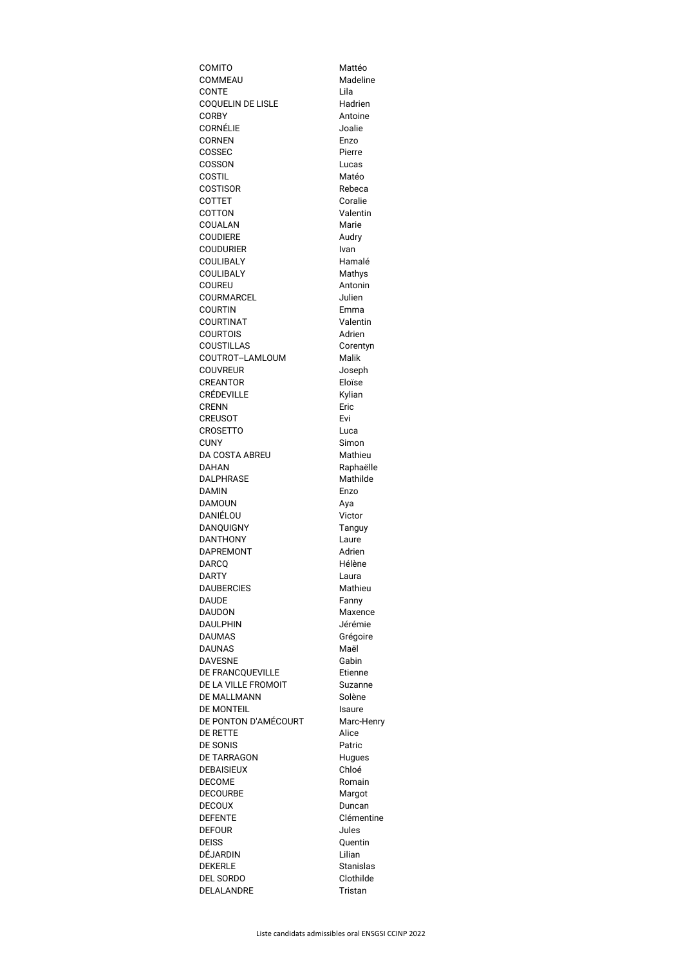| <b>COMITO</b>                        | Mattéo               |
|--------------------------------------|----------------------|
| <b>COMMEAU</b>                       | Madeline             |
| <b>CONTE</b>                         | Lila                 |
| <b>COQUELIN DE LISLE</b>             | Hadrien              |
| <b>CORBY</b>                         | Antoine              |
| <b>CORNÉLIE</b>                      | Joalie               |
| <b>CORNEN</b>                        | Enzo                 |
| <b>COSSEC</b>                        | Pierre               |
| <b>COSSON</b>                        | Lucas                |
| <b>COSTIL</b>                        | Matéo                |
| <b>COSTISOR</b>                      | Rebeca               |
| <b>COTTET</b>                        | Coralie              |
| <b>COTTON</b>                        | Valentin             |
| COUALAN                              | Marie                |
| <b>COUDIERE</b>                      | Audry                |
| <b>COUDURIER</b><br><b>COULIBALY</b> | Ivan<br>Hamalé       |
| <b>COULIBALY</b>                     |                      |
| <b>COUREU</b>                        | Mathys<br>Antonin    |
| <b>COURMARCEL</b>                    | Julien               |
| <b>COURTIN</b>                       | Emma                 |
| <b>COURTINAT</b>                     | Valentin             |
| <b>COURTOIS</b>                      | Adrien               |
| <b>COUSTILLAS</b>                    | Corentyn             |
| COUTROT--LAMLOUM                     | <b>Malik</b>         |
| <b>COUVREUR</b>                      | Joseph               |
| <b>CREANTOR</b>                      | Eloïse               |
| <b>CRÉDEVILLE</b>                    | Kylian               |
| <b>CRENN</b>                         | Eric                 |
| <b>CREUSOT</b>                       | Evi                  |
| <b>CROSETTO</b>                      | Luca                 |
| <b>CUNY</b>                          | Simon                |
| <b>DA COSTA ABREU</b>                | Mathieu              |
| <b>DAHAN</b>                         | Raphaëlle            |
| <b>DALPHRASE</b>                     | Mathilde             |
| <b>DAMIN</b>                         | Enzo                 |
| <b>DAMOUN</b>                        | Aya                  |
| DANIÉLOU                             | Victor               |
| <b>DANQUIGNY</b>                     | Tanguy               |
| <b>DANTHONY</b>                      | Laure                |
| <b>DAPREMONT</b>                     | Adrien               |
| <b>DARCQ</b>                         | Hélène               |
| <b>DARTY</b>                         | Laura                |
| <b>DAUBERCIES</b>                    | Mathieu              |
| <b>DAUDE</b>                         | Fanny                |
| <b>DAUDON</b>                        | Maxence              |
| <b>DAULPHIN</b>                      | Jérémie              |
| <b>DAUMAS</b>                        | Grégoire             |
| <b>DAUNAS</b>                        | Maël                 |
| <b>DAVESNE</b>                       | Gabin                |
| DE FRANCQUEVILLE                     | Etienne              |
| DE LA VILLE FROMOIT                  | <b>Suzanne</b>       |
| <b>DE MALLMANN</b>                   | Solène               |
| <b>DE MONTEIL</b>                    | Isaure               |
| DE PONTON D'AMÉCOURT                 | Marc-Henry           |
| <b>DE RETTE</b>                      | Alice                |
| <b>DE SONIS</b>                      | Patric               |
| <b>DE TARRAGON</b>                   | <b>Hugues</b>        |
| <b>DEBAISIEUX</b>                    | Chloé                |
| <b>DECOME</b>                        | Romain               |
| <b>DECOURBE</b>                      | Margot               |
| <b>DECOUX</b><br><b>DEFENTE</b>      | Duncan<br>Clémentine |
| <b>DEFOUR</b>                        | Jules                |
| <b>DEISS</b>                         |                      |
| <b>DÉJARDIN</b>                      | Quentin<br>Lilian    |
| <b>DEKERLE</b>                       | <b>Stanislas</b>     |
| <b>DEL SORDO</b>                     | Clothilde            |
| DELALANDRE                           | <b>Tristan</b>       |
|                                      |                      |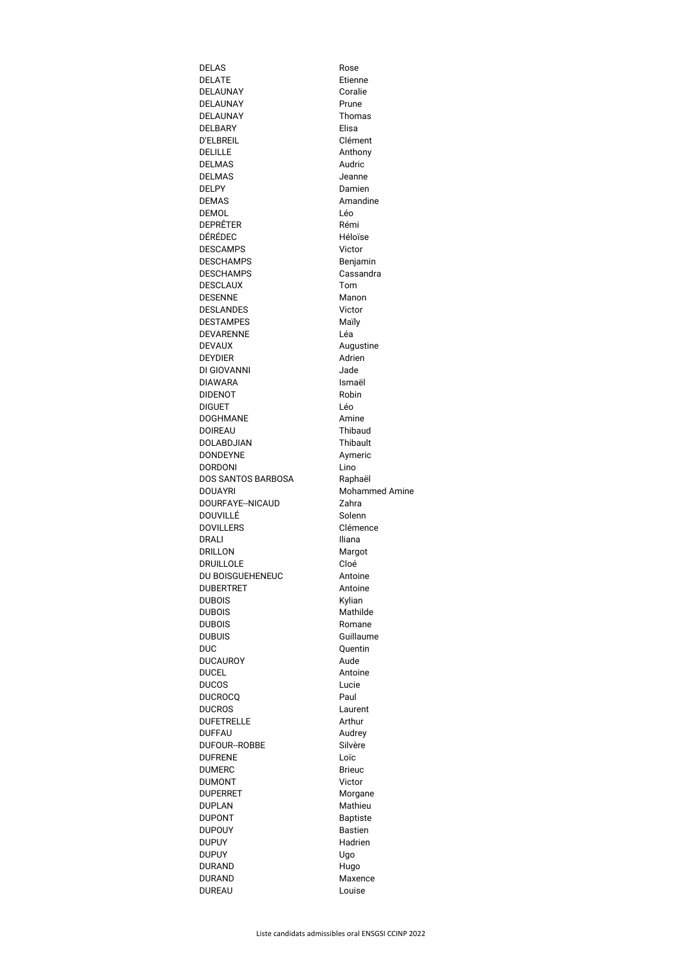| <b>DELAS</b>                       | Rose                  |
|------------------------------------|-----------------------|
| <b>DELATE</b>                      | Etienne               |
| <b>DELAUNAY</b>                    | Coralie               |
| <b>DELAUNAY</b>                    | Prune                 |
| <b>DELAUNAY</b>                    | <b>Thomas</b>         |
| <b>DELBARY</b><br><b>D'ELBREIL</b> | Elisa<br>Clément      |
| <b>DELILLE</b>                     | Anthony               |
| <b>DELMAS</b>                      | Audric                |
| <b>DELMAS</b>                      | Jeanne                |
| <b>DELPY</b>                       | Damien                |
| <b>DEMAS</b>                       | Amandine              |
| <b>DEMOL</b>                       | Léo                   |
| DEPRÊTER                           | Rémi                  |
| DÉRÉDEC                            | Héloïse               |
| <b>DESCAMPS</b>                    | Victor                |
| <b>DESCHAMPS</b>                   | Benjamin              |
| <b>DESCHAMPS</b>                   | Cassandra             |
| <b>DESCLAUX</b>                    | Tom                   |
| <b>DESENNE</b><br><b>DESLANDES</b> | Manon<br>Victor       |
| <b>DESTAMPES</b>                   | Maïly                 |
| <b>DEVARENNE</b>                   | Léa                   |
| <b>DEVAUX</b>                      | Augustine             |
| <b>DEYDIER</b>                     | Adrien                |
| DI GIOVANNI                        | Jade                  |
| <b>DIAWARA</b>                     | Ismaël                |
| <b>DIDENOT</b>                     | Robin                 |
| <b>DIGUET</b>                      | Léo                   |
| <b>DOGHMANE</b>                    | Amine                 |
| <b>DOIREAU</b>                     | <b>Thibaud</b>        |
| DOLABDJIAN                         | <b>Thibault</b>       |
| <b>DONDEYNE</b><br><b>DORDONI</b>  | Aymeric<br>Lino       |
| DOS SANTOS BARBOSA                 | Raphaël               |
| <b>DOUAYRI</b>                     | <b>Mohammed Amine</b> |
| DOURFAYE--NICAUD                   | Zahra                 |
| DOUVILLÉ                           | Solenn                |
| <b>DOVILLERS</b>                   | Clémence              |
| DRALI                              | Iliana                |
| <b>DRILLON</b>                     | Margot                |
| <b>DRUILLOLE</b>                   | Cloé                  |
| DU BOISGUEHENEUC                   | Antoine               |
| <b>DUBERTRET</b>                   | Antoine               |
| <b>DUBOIS</b>                      | Kylian                |
| <b>DUBOIS</b>                      | Mathilde              |
| <b>DUBOIS</b><br><b>DUBUIS</b>     | Romane<br>Guillaume   |
| <b>DUC</b>                         | Quentin               |
| <b>DUCAUROY</b>                    | Aude                  |
| <b>DUCEL</b>                       | Antoine               |
| <b>DUCOS</b>                       | Lucie                 |
| <b>DUCROCQ</b>                     | Paul                  |
| <b>DUCROS</b>                      | Laurent               |
| <b>DUFETRELLE</b>                  | Arthur                |
| <b>DUFFAU</b>                      | Audrey                |
| <b>DUFOUR--ROBBE</b>               | Silvère               |
| <b>DUFRENE</b>                     | Loïc                  |
| <b>DUMERC</b>                      | <b>Brieuc</b>         |
| <b>DUMONT</b><br><b>DUPERRET</b>   | Victor<br>Morgane     |
| <b>DUPLAN</b>                      | Mathieu               |
| <b>DUPONT</b>                      | <b>Baptiste</b>       |
| <b>DUPOUY</b>                      | <b>Bastien</b>        |
| <b>DUPUY</b>                       | Hadrien               |
| <b>DUPUY</b>                       | Ugo                   |
| <b>DURAND</b>                      | Hugo                  |
| <b>DURAND</b>                      | Maxence               |
| <b>DUREAU</b>                      | Louise                |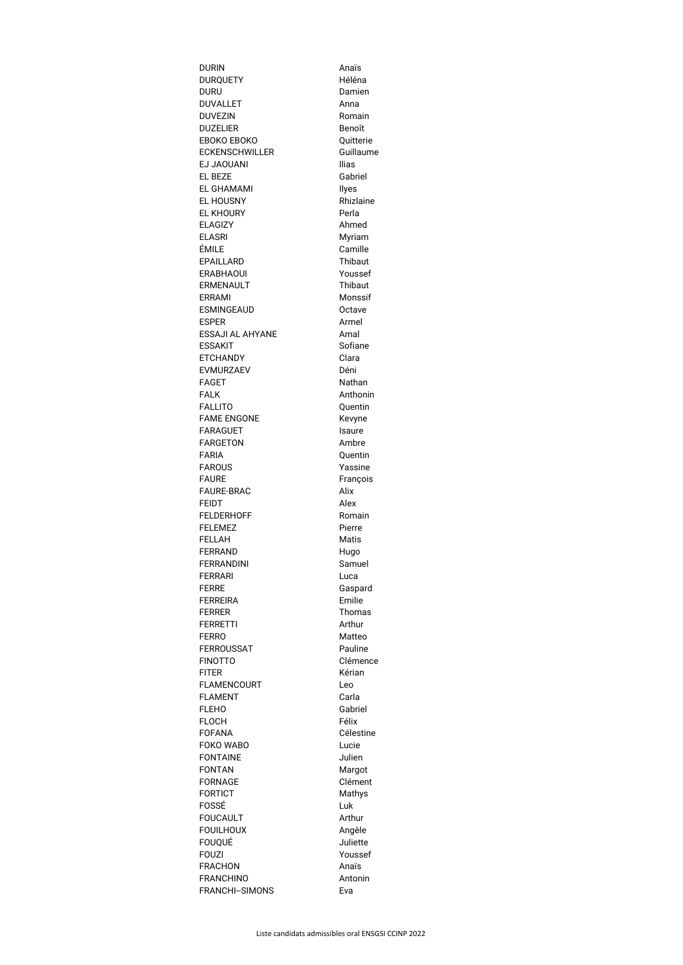| <b>DURIN</b>                        | Anaïs              |
|-------------------------------------|--------------------|
| <b>DURQUETY</b>                     | Héléna             |
| <b>DURU</b>                         | Damien             |
| <b>DUVALLET</b>                     | Anna               |
| <b>DUVEZIN</b>                      | Romain             |
| <b>DUZELIER</b>                     | Benoît             |
| <b>EBOKO EBOKO</b>                  | Quitterie          |
| <b>ECKENSCHWILLER</b>               | Guillaume          |
| <b>EJ JAOUANI</b>                   | <b>Ilias</b>       |
| <b>EL BEZE</b><br><b>EL GHAMAMI</b> | Gabriel            |
| <b>EL HOUSNY</b>                    | Ilyes<br>Rhizlaine |
| <b>EL KHOURY</b>                    | Perla              |
| <b>ELAGIZY</b>                      | Ahmed              |
| <b>ELASRI</b>                       | Myriam             |
| ÉMILE                               | Camille            |
| <b>EPAILLARD</b>                    | <b>Thibaut</b>     |
| <b>ERABHAOUI</b>                    | Youssef            |
| <b>ERMENAULT</b>                    | Thibaut            |
| <b>ERRAMI</b>                       | Monssif            |
| <b>ESMINGEAUD</b>                   | Octave             |
| <b>ESPER</b>                        | Armel              |
| <b>ESSAJI AL AHYANE</b>             | Amal               |
| <b>ESSAKIT</b>                      | Sofiane            |
| <b>ETCHANDY</b>                     | Clara              |
| <b>EVMURZAEV</b>                    | Déni               |
| <b>FAGET</b>                        | Nathan             |
| <b>FALK</b>                         | Anthonin           |
| <b>FALLITO</b>                      | Quentin            |
| <b>FAME ENGONE</b>                  | Kevyne             |
| <b>FARAGUET</b>                     | Isaure             |
| <b>FARGETON</b>                     | Ambre              |
| <b>FARIA</b>                        | Quentin            |
| <b>FAROUS</b><br><b>FAURE</b>       | Yassine            |
| <b>FAURE-BRAC</b>                   | François<br>Alix   |
| <b>FEIDT</b>                        | Alex               |
| <b>FELDERHOFF</b>                   | Romain             |
| <b>FELEMEZ</b>                      | Pierre             |
| <b>FELLAH</b>                       | Matis              |
|                                     |                    |
| <b>FERRAND</b>                      |                    |
| <b>FERRANDINI</b>                   | Hugo<br>Samuel     |
| <b>FERRARI</b>                      | Luca               |
| <b>FERRE</b>                        | Gaspard            |
| <b>FERREIRA</b>                     | Emilie             |
| <b>FERRER</b>                       | Thomas             |
| <b>FERRETTI</b>                     | Arthur             |
| <b>FERRO</b>                        | Matteo             |
| <b>FERROUSSAT</b>                   | Pauline            |
| <b>FINOTTO</b>                      | Clémence           |
| <b>FITER</b>                        | Kérian             |
| <b>FLAMENCOURT</b>                  | Leo                |
| <b>FLAMENT</b>                      | Carla              |
| <b>FLEHO</b>                        | Gabriel            |
| <b>FLOCH</b>                        | Félix              |
| <b>FOFANA</b>                       | Célestine          |
| <b>FOKO WABO</b>                    | Lucie              |
| <b>FONTAINE</b>                     | Julien             |
| <b>FONTAN</b>                       | Margot             |
| <b>FORNAGE</b>                      | Clément            |
| <b>FORTICT</b>                      | Mathys             |
| FOSSÉ<br><b>FOUCAULT</b>            | Luk<br>Arthur      |
| <b>FOUILHOUX</b>                    | Angèle             |
| <b>FOUQUÉ</b>                       | Juliette           |
| <b>FOUZI</b>                        | Youssef            |
| <b>FRACHON</b>                      | Anaïs              |
| <b>FRANCHINO</b>                    | Antonin            |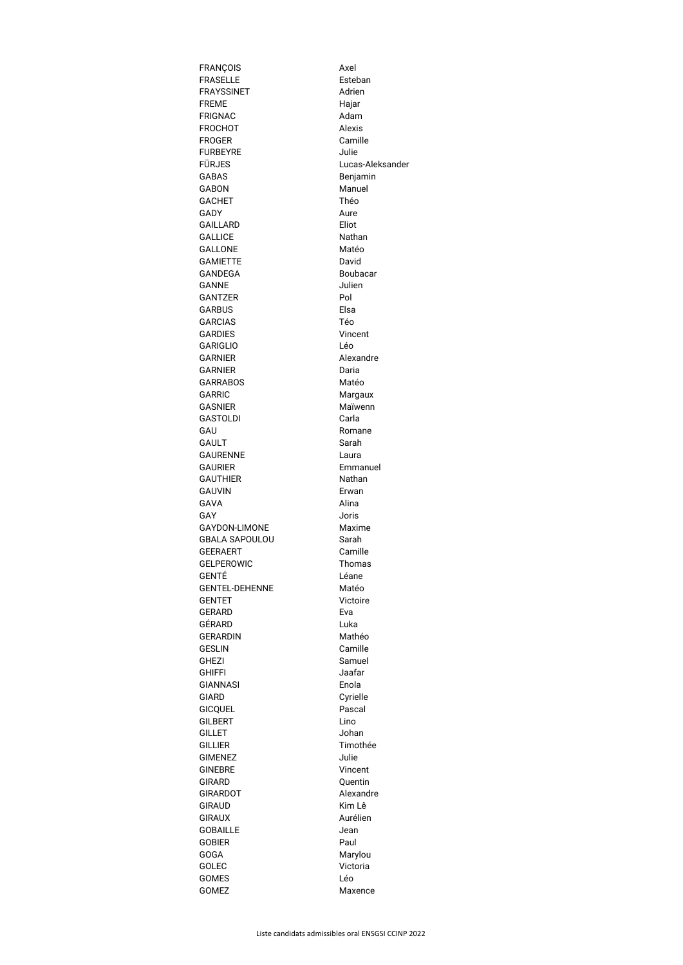| <b>FRANÇOIS</b>                  | Axel                 |
|----------------------------------|----------------------|
| <b>FRASELLE</b>                  | Esteban              |
| <b>FRAYSSINET</b>                | Adrien               |
| <b>FREME</b>                     | Hajar                |
| <b>FRIGNAC</b>                   | Adam                 |
| <b>FROCHOT</b>                   | <b>Alexis</b>        |
| <b>FROGER</b>                    | Camille              |
| <b>FURBEYRE</b>                  | Julie                |
| FÜRJES                           | Lucas-Aleksander     |
| <b>GABAS</b>                     | Benjamin             |
| <b>GABON</b>                     | Manuel               |
| <b>GACHET</b>                    | Théo                 |
| <b>GADY</b>                      | Aure                 |
| <b>GAILLARD</b>                  | Eliot                |
| <b>GALLICE</b>                   | Nathan               |
| <b>GALLONE</b>                   | Matéo                |
| <b>GAMIETTE</b>                  | David                |
| <b>GANDEGA</b>                   | Boubacar             |
| <b>GANNE</b>                     | Julien               |
| <b>GANTZER</b>                   | Pol                  |
| <b>GARBUS</b>                    | Elsa                 |
| <b>GARCIAS</b>                   | Téo                  |
| <b>GARDIES</b>                   | Vincent              |
| <b>GARIGLIO</b>                  | Léo                  |
| <b>GARNIER</b>                   | Alexandre            |
| <b>GARNIER</b>                   | Daria                |
| <b>GARRABOS</b>                  | Matéo                |
| GARRIC                           | Margaux              |
| <b>GASNIER</b>                   | Maïwenn              |
| <b>GASTOLDI</b>                  | Carla                |
| GAU                              | Romane               |
| <b>GAULT</b><br><b>GAURENNE</b>  | Sarah                |
| <b>GAURIER</b>                   | Laura<br>Emmanuel    |
| <b>GAUTHIER</b>                  | Nathan               |
| <b>GAUVIN</b>                    | Erwan                |
| GAVA                             | Alina                |
| GAY                              | <b>Joris</b>         |
| <b>GAYDON-LIMONE</b>             | Maxime               |
| <b>GBALA SAPOULOU</b>            | Sarah                |
| <b>GEERAERT</b>                  | Camille              |
| <b>GELPEROWIC</b>                | <b>Thomas</b>        |
| GENTÉ                            | Léane                |
| <b>GENTEL-DEHENNE</b>            | Matéo                |
| <b>GENTET</b>                    | Victoire             |
| <b>GERARD</b>                    | Eva                  |
| GÉRARD                           | Luka                 |
| <b>GERARDIN</b>                  | Mathéo               |
| <b>GESLIN</b>                    | Camille              |
| <b>GHEZI</b>                     | Samuel               |
| <b>GHIFFI</b>                    | Jaafar               |
| <b>GIANNASI</b>                  | Enola                |
| GIARD                            | Cyrielle             |
| <b>GICQUEL</b>                   | Pascal               |
| <b>GILBERT</b>                   | Lino                 |
| <b>GILLET</b>                    | Johan                |
| <b>GILLIER</b>                   | Timothée             |
| <b>GIMENEZ</b>                   | Julie                |
| <b>GINEBRE</b>                   | Vincent              |
| <b>GIRARD</b>                    | Quentin<br>Alexandre |
| <b>GIRARDOT</b><br><b>GIRAUD</b> | Kim Lê               |
| <b>GIRAUX</b>                    | Aurélien             |
| <b>GOBAILLE</b>                  | Jean                 |
| <b>GOBIER</b>                    | Paul                 |
| <b>GOGA</b>                      | Marylou              |
| <b>GOLEC</b>                     | Victoria             |
| <b>GOMES</b>                     | Léo                  |
| <b>GOMEZ</b>                     | Maxence              |
|                                  |                      |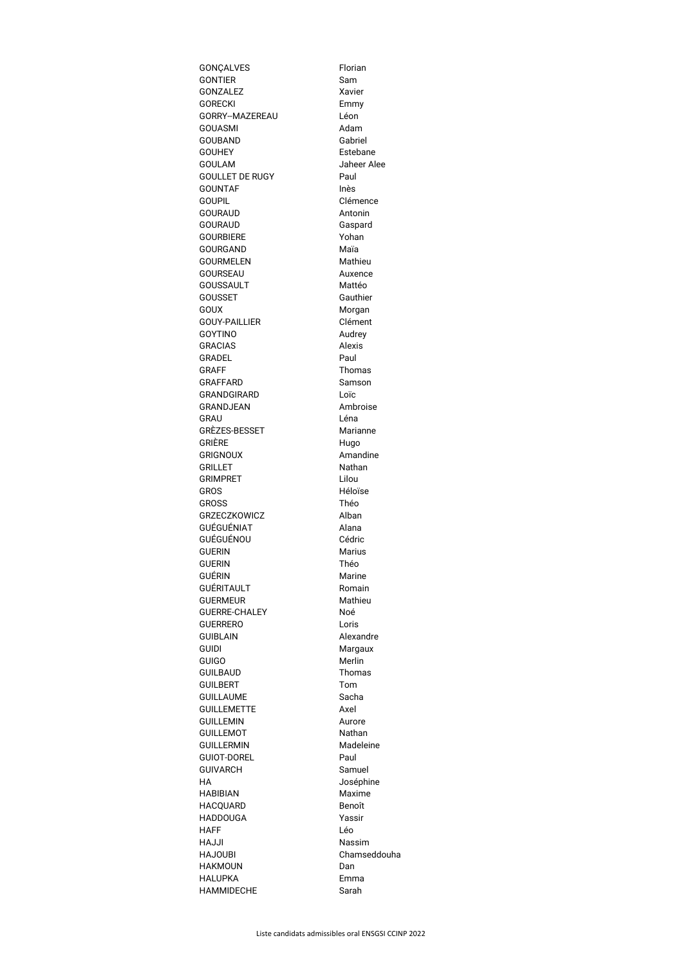| GONÇALVES                              | Florian              |
|----------------------------------------|----------------------|
| <b>GONTIER</b>                         | Sam                  |
| <b>GONZALEZ</b>                        | Xavier               |
| <b>GORECKI</b>                         | Emmy                 |
| GORRY--MAZEREAU                        | Léon                 |
| GOUASMI                                | Adam                 |
| <b>GOUBAND</b><br><b>GOUHEY</b>        | Gabriel<br>Estebane  |
| <b>GOULAM</b>                          | Jaheer Alee          |
| <b>GOULLET DE RUGY</b>                 | Paul                 |
| <b>GOUNTAF</b>                         | Inès                 |
| <b>GOUPIL</b>                          | Clémence             |
| <b>GOURAUD</b>                         | Antonin              |
| <b>GOURAUD</b>                         | Gaspard              |
| <b>GOURBIERE</b>                       | Yohan                |
| <b>GOURGAND</b>                        | Maïa                 |
| <b>GOURMELEN</b>                       | Mathieu              |
| <b>GOURSEAU</b>                        | Auxence              |
| <b>GOUSSAULT</b>                       | Mattéo               |
| <b>GOUSSET</b>                         | Gauthier             |
| <b>GOUX</b>                            | Morgan               |
| <b>GOUY-PAILLIER</b><br><b>GOYTINO</b> | Clément<br>Audrey    |
| <b>GRACIAS</b>                         | <b>Alexis</b>        |
| GRADEL                                 | Paul                 |
| <b>GRAFF</b>                           | <b>Thomas</b>        |
| <b>GRAFFARD</b>                        | Samson               |
| GRANDGIRARD                            | Loïc                 |
| <b>GRANDJEAN</b>                       | Ambroise             |
| GRAU                                   | Léna                 |
| GRÈZES-BESSET                          | Marianne             |
| GRIÈRE                                 | Hugo                 |
| <b>GRIGNOUX</b>                        | Amandine             |
| <b>GRILLET</b>                         | <b>Nathan</b>        |
| <b>GRIMPRET</b><br><b>GROS</b>         | Lilou<br>Héloïse     |
| <b>GROSS</b>                           | Théo                 |
| <b>GRZECZKOWICZ</b>                    | Alban                |
| GUÉGUÉNIAT                             | Alana                |
| GUÉGUÉNOU                              | Cédric               |
| <b>GUERIN</b>                          | <b>Marius</b>        |
| <b>GUERIN</b>                          | Théo                 |
| GUÉRIN                                 | Marine               |
| <b>GUÉRITAULT</b>                      | Romain               |
| <b>GUERMEUR</b>                        | Mathieu              |
| <b>GUERRE-CHALEY</b>                   | Noé                  |
| <b>GUERRERO</b>                        | Loris                |
| <b>GUIBLAIN</b><br><b>GUIDI</b>        | Alexandre<br>Margaux |
| <b>GUIGO</b>                           | Merlin               |
| <b>GUILBAUD</b>                        | <b>Thomas</b>        |
| <b>GUILBERT</b>                        | Tom                  |
| <b>GUILLAUME</b>                       | Sacha                |
| <b>GUILLEMETTE</b>                     | Axel                 |
| <b>GUILLEMIN</b>                       | Aurore               |
| <b>GUILLEMOT</b>                       | Nathan               |
| <b>GUILLERMIN</b>                      | Madeleine            |
| <b>GUIOT-DOREL</b>                     | Paul                 |
| <b>GUIVARCH</b>                        | Samuel               |
| НA                                     | Joséphine            |
| <b>HABIBIAN</b><br><b>HACQUARD</b>     | Maxime<br>Benoît     |
| <b>HADDOUGA</b>                        | Yassir               |
| HAFF                                   | Léo                  |
| HAJJI                                  | <b>Nassim</b>        |
| <b>HAJOUBI</b>                         | Chamseddouha         |
| <b>HAKMOUN</b>                         | Dan                  |
| HALUPKA                                | Emma                 |
| <b>HAMMIDECHE</b>                      | Sarah                |
|                                        |                      |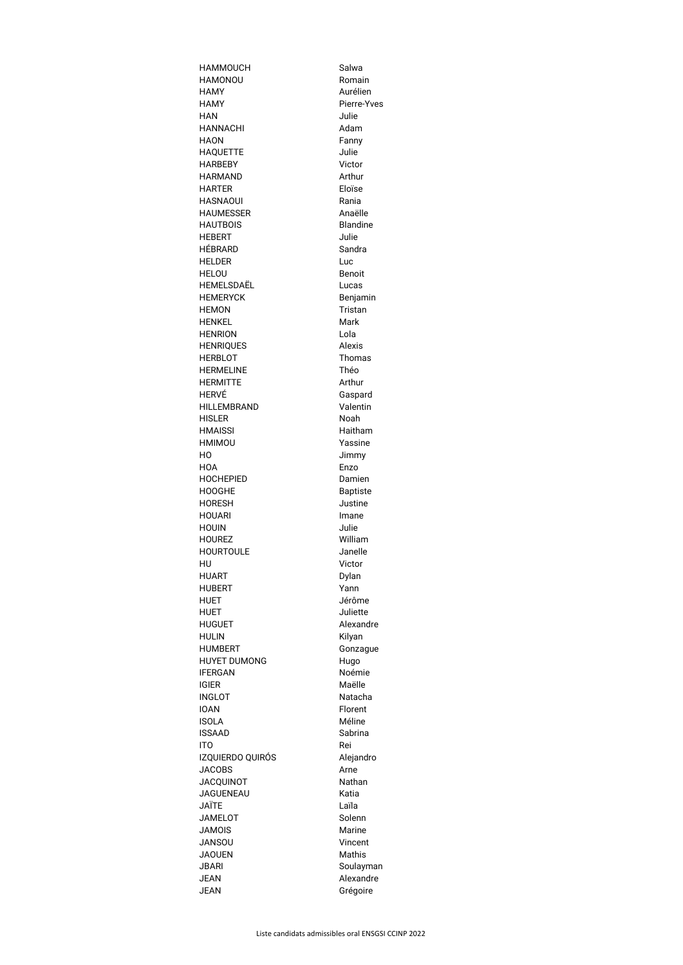| <b>HAMMOUCH</b>                | Salwa                      |
|--------------------------------|----------------------------|
| HAMONOU                        | Romain                     |
| <b>HAMY</b>                    | Aurélien                   |
| <b>HAMY</b>                    | Pierre-Yves                |
| HAN                            | Julie                      |
| <b>HANNACHI</b>                | Adam                       |
| <b>HAON</b>                    | Fanny                      |
| <b>HAQUETTE</b>                | Julie                      |
| <b>HARBEBY</b>                 | Victor                     |
| <b>HARMAND</b>                 | Arthur                     |
| <b>HARTER</b>                  | Eloïse                     |
| HASNAOUI                       | Rania                      |
| <b>HAUMESSER</b>               | Anaëlle                    |
| <b>HAUTBOIS</b>                | <b>Blandine</b>            |
| <b>HEBERT</b>                  | Julie                      |
| HÉBRARD                        | Sandra                     |
| <b>HELDER</b>                  | Luc                        |
| <b>HELOU</b>                   | <b>Benoit</b>              |
| HEMELSDAËL                     | Lucas                      |
| <b>HEMERYCK</b>                | Benjamin                   |
| <b>HEMON</b>                   | <b>Tristan</b>             |
| <b>HENKEL</b>                  | Mark                       |
| <b>HENRION</b>                 | Lola                       |
| <b>HENRIQUES</b>               | <b>Alexis</b>              |
| <b>HERBLOT</b>                 | Thomas                     |
| <b>HERMELINE</b>               | Théo                       |
| <b>HERMITTE</b>                | Arthur                     |
| HERVÉ                          | Gaspard                    |
| <b>HILLEMBRAND</b>             | Valentin                   |
| HISLER                         | Noah                       |
| <b>HMAISSI</b>                 | Haitham                    |
| HMIMOU                         | Yassine                    |
| НO                             | Jimmy                      |
| HOA                            | Enzo                       |
| <b>HOCHEPIED</b>               | Damien                     |
| <b>HOOGHE</b><br><b>HORESH</b> | <b>Baptiste</b><br>Justine |
| HOUARI                         | Imane                      |
| <b>HOUIN</b>                   | Julie                      |
| <b>HOUREZ</b>                  | William                    |
| <b>HOURTOULE</b>               | Janelle                    |
| HU                             | Victor                     |
| HUART                          | Dylan                      |
| <b>HUBERT</b>                  | Yann                       |
| HUET                           | Jérôme                     |
| HUET                           | Juliette                   |
| <b>HUGUET</b>                  | Alexandre                  |
| <b>HULIN</b>                   | Kilyan                     |
| <b>HUMBERT</b>                 | Gonzague                   |
| <b>HUYET DUMONG</b>            | Hugo                       |
| <b>IFERGAN</b>                 | Noémie                     |
| <b>IGIER</b>                   | Maëlle                     |
| <b>INGLOT</b>                  | Natacha                    |
| <b>IOAN</b>                    | Florent                    |
| <b>ISOLA</b>                   | Méline                     |
| <b>ISSAAD</b>                  | Sabrina                    |
| ITO                            | Rei                        |
| IZQUIERDO QUIRÓS               | Alejandro                  |
| <b>JACOBS</b>                  | Arne                       |
| <b>JACQUINOT</b>               | Nathan                     |
| JAGUENEAU                      | Katia                      |
| JAÏTE                          | Laïla                      |
| <b>JAMELOT</b>                 | Solenn                     |
| <b>JAMOIS</b>                  | <b>Marine</b>              |
| JANSOU                         | Vincent                    |
| JAOUEN                         | <b>Mathis</b>              |
| JBARI                          | Soulayman                  |
| JEAN<br><b>JEAN</b>            | Alexandre                  |
|                                | Grégoire                   |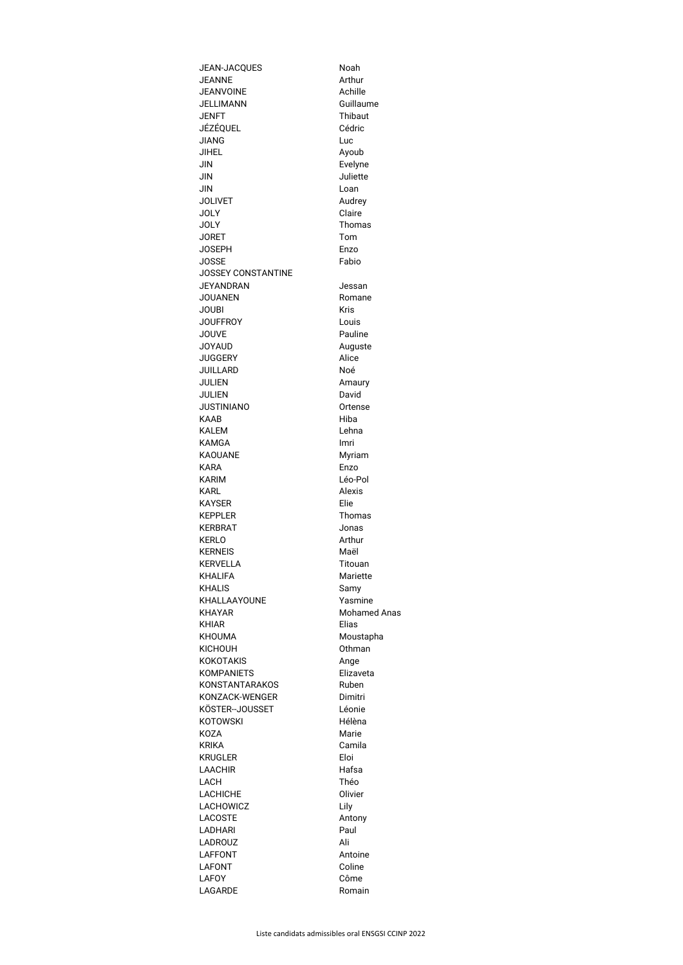| <b>JEAN-JACQUES</b>             | Noah                         |
|---------------------------------|------------------------------|
| <b>JEANNE</b>                   | Arthur                       |
| <b>JEANVOINE</b>                | Achille                      |
| JELLIMANN                       | Guillaume                    |
| JENFT                           | <b>Thibaut</b>               |
| JÉZÉQUEL                        | Cédric                       |
| <b>JIANG</b><br><b>JIHEL</b>    | Luc                          |
| JIN                             | Ayoub<br>Evelyne             |
| JIN                             | Juliette                     |
| JIN                             | Loan                         |
| <b>JOLIVET</b>                  | Audrey                       |
| <b>JOLY</b>                     | Claire                       |
| <b>JOLY</b>                     | Thomas                       |
| <b>JORET</b>                    | Tom                          |
| <b>JOSEPH</b>                   | Enzo                         |
| <b>JOSSE</b>                    | Fabio                        |
| <b>JOSSEY CONSTANTINE</b>       |                              |
| JEYANDRAN                       | Jessan                       |
| <b>JOUANEN</b>                  | Romane                       |
| <b>JOUBI</b>                    | <b>Kris</b>                  |
| <b>JOUFFROY</b><br><b>JOUVE</b> | Louis<br>Pauline             |
| JOYAUD                          | Auguste                      |
| <b>JUGGERY</b>                  | Alice                        |
| <b>JUILLARD</b>                 | Noé                          |
| <b>JULIEN</b>                   | Amaury                       |
| <b>JULIEN</b>                   | David                        |
| <b>JUSTINIANO</b>               | Ortense                      |
| <b>KAAB</b>                     | Hiba                         |
| KALEM                           | Lehna                        |
| KAMGA                           | Imri                         |
| <b>KAOUANE</b><br>KARA          | Myriam<br>Enzo               |
| <b>KARIM</b>                    | Léo-Pol                      |
| KARL                            | <b>Alexis</b>                |
| KAYSER                          | Elie                         |
| <b>KEPPLER</b>                  | Thomas                       |
| <b>KERBRAT</b>                  | Jonas                        |
| KERLO                           | Arthur                       |
| <b>KERNEIS</b>                  | Maël                         |
| <b>KERVELLA</b>                 | Titouan                      |
| <b>KHALIFA</b>                  | Mariette                     |
| <b>KHALIS</b>                   | Samy                         |
| KHALLAAYOUNE                    | Yasmine                      |
| <b>KHAYAR</b><br>KHIAR          | <b>Mohamed Anas</b><br>Elias |
| <b>KHOUMA</b>                   | Moustapha                    |
| <b>KICHOUH</b>                  | Othman                       |
| <b>KOKOTAKIS</b>                | Ange                         |
| <b>KOMPANIETS</b>               | Elizaveta                    |
| KONSTANTARAKOS                  | Ruben                        |
| KONZACK-WENGER                  | Dimitri                      |
| KÖSTER-JOUSSET                  | Léonie                       |
| KOTOWSKI                        | Hélèna                       |
| KOZA                            | Marie                        |
| KRIKA                           | Camila                       |
| <b>KRUGLER</b>                  | Eloi                         |
| <b>LAACHIR</b><br>LACH          | Hafsa<br>Théo                |
| <b>LACHICHE</b>                 | Olivier                      |
| LACHOWICZ                       | Lily                         |
| <b>LACOSTE</b>                  | Antony                       |
| <b>LADHARI</b>                  | Paul                         |
| LADROUZ                         | Ali                          |
| LAFFONT                         | Antoine                      |
| <b>LAFONT</b>                   | Coline                       |
| <b>LAFOY</b>                    | Côme                         |
| <b>LAGARDE</b>                  | Romain                       |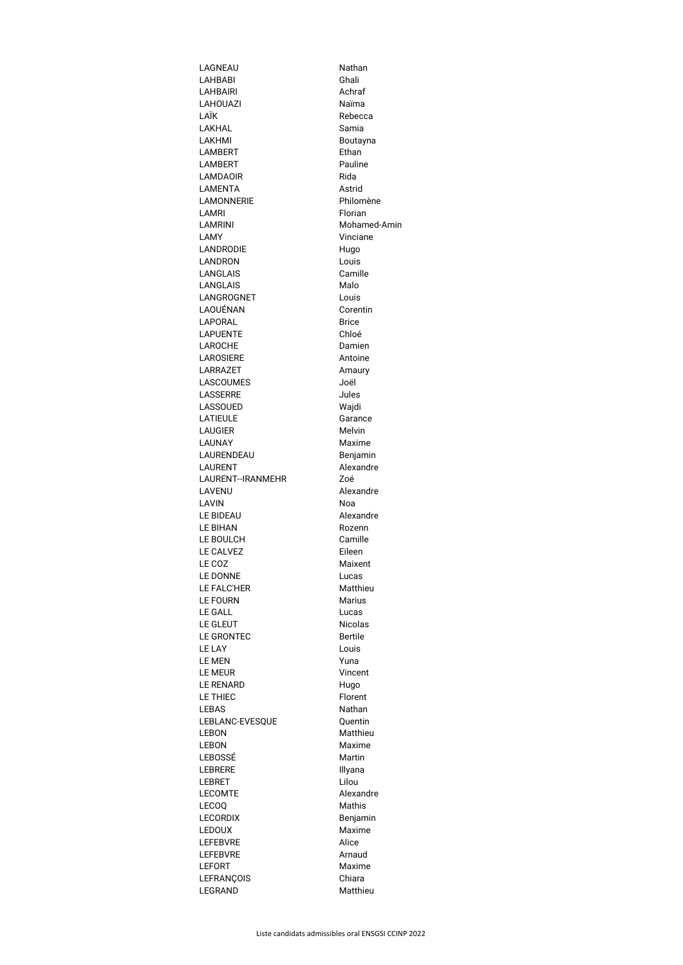| LAGNEAU                                                                               | Nathan                    |
|---------------------------------------------------------------------------------------|---------------------------|
| <b>LAHBABI</b>                                                                        | Ghali                     |
| <b>LAHBAIRI</b>                                                                       | Achraf                    |
| LAHOUAZI                                                                              | Naïma                     |
| LAÏK                                                                                  | Rebecca                   |
| LAKHAL                                                                                | Samia                     |
| LAKHMI<br><b>LAMBERT</b>                                                              | Boutayna<br>Ethan         |
| LAMBERT                                                                               | Pauline                   |
| <b>LAMDAOIR</b>                                                                       | Rida                      |
| LAMENTA                                                                               | Astrid                    |
| <b>LAMONNERIE</b>                                                                     | Philomène                 |
| LAMRI                                                                                 | Florian                   |
| <b>LAMRINI</b>                                                                        | Mohamed-Amin              |
| LAMY                                                                                  | Vinciane                  |
| <b>LANDRODIE</b>                                                                      | Hugo                      |
| <b>LANDRON</b>                                                                        | Louis                     |
| <b>LANGLAIS</b>                                                                       | Camille                   |
| <b>LANGLAIS</b>                                                                       | Malo                      |
| LANGROGNET                                                                            | Louis                     |
| LAOUÉNAN                                                                              | Corentin                  |
| <b>LAPORAL</b>                                                                        | <b>Brice</b>              |
| <b>LAPUENTE</b>                                                                       | Chloé                     |
| <b>LAROCHE</b>                                                                        | Damien                    |
| <b>LAROSIERE</b>                                                                      | Antoine                   |
| <b>LARRAZET</b>                                                                       | Amaury                    |
| <b>LASCOUMES</b>                                                                      | Joël                      |
| LASSERRE                                                                              | Jules                     |
| <b>LASSOUED</b>                                                                       | Wajdi                     |
| <b>LATIEULE</b><br><b>LAUGIER</b>                                                     | Garance<br><b>Melvin</b>  |
| <b>LAUNAY</b>                                                                         | Maxime                    |
| LAURENDEAU                                                                            | Benjamin                  |
| <b>LAURENT</b>                                                                        | Alexandre                 |
|                                                                                       | Zoé                       |
|                                                                                       |                           |
| LAURENT--IRANMEHR                                                                     |                           |
| LAVENU<br><b>LAVIN</b>                                                                | Alexandre<br>Noa          |
| <b>LE BIDEAU</b>                                                                      | Alexandre                 |
| <b>LE BIHAN</b>                                                                       | Rozenn                    |
| LE BOULCH                                                                             | Camille                   |
| LE CALVEZ                                                                             | Eileen                    |
| LE COZ                                                                                | Maixent                   |
| <b>LE DONNE</b>                                                                       | Lucas                     |
| <b>LE FALC'HER</b>                                                                    | Matthieu                  |
| <b>LE FOURN</b>                                                                       | <b>Marius</b>             |
| <b>LE GALL</b>                                                                        | Lucas                     |
| <b>LE GLEUT</b>                                                                       | <b>Nicolas</b>            |
| <b>LE GRONTEC</b>                                                                     | <b>Bertile</b>            |
| <b>LE LAY</b>                                                                         | Louis                     |
| <b>LE MEN</b>                                                                         | Yuna                      |
| <b>LE MEUR</b>                                                                        | Vincent                   |
| <b>LE RENARD</b>                                                                      | Hugo                      |
| <b>LE THIEC</b>                                                                       | Florent                   |
|                                                                                       | Nathan                    |
| <b>LEBAS</b><br>LEBLANC-EVESQUE                                                       | Quentin                   |
| <b>LEBON</b>                                                                          | <b>Matthieu</b><br>Maxime |
|                                                                                       | Martin                    |
| <b>LEBON</b><br>LEBOSSÉ<br><b>LEBRERE</b>                                             | Illyana                   |
| <b>LEBRET</b>                                                                         | Lilou                     |
|                                                                                       | Alexandre                 |
|                                                                                       | <b>Mathis</b>             |
|                                                                                       | Benjamin                  |
|                                                                                       | Maxime                    |
| <b>LECOMTE</b><br><b>LECOQ</b><br><b>LECORDIX</b><br><b>LEDOUX</b><br><b>LEFEBVRE</b> | Alice                     |
| <b>LEFEBVRE</b>                                                                       | Arnaud                    |
| <b>LEFORT</b>                                                                         | Maxime                    |
| <b>LEFRANCOIS</b><br><b>LEGRAND</b>                                                   | Chiara<br>Matthieu        |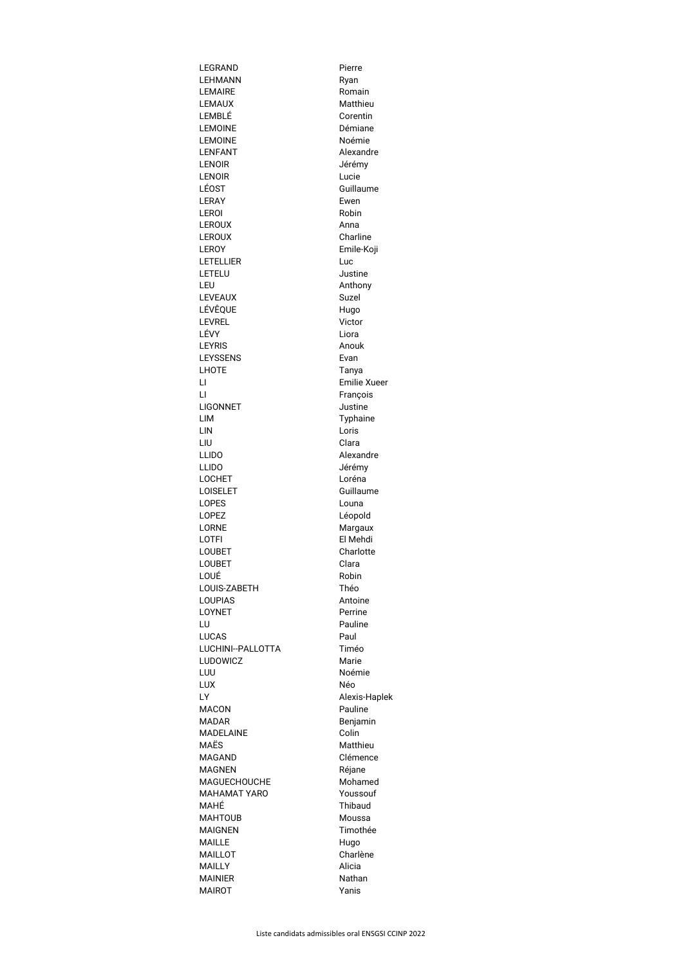| LEGRAND                       | Pierre              |
|-------------------------------|---------------------|
| <b>LEHMANN</b>                | Ryan                |
| <b>LEMAIRE</b>                | Romain              |
| <b>LEMAUX</b>                 | Matthieu            |
| LEMBLÉ                        | Corentin            |
| <b>LEMOINE</b>                | Démiane             |
| <b>LEMOINE</b>                | Noémie              |
| <b>LENFANT</b>                | Alexandre           |
| <b>LENOIR</b>                 | Jérémy              |
| <b>LENOIR</b>                 | Lucie               |
| LÉOST<br><b>LERAY</b>         | Guillaume<br>Ewen   |
| <b>LEROI</b>                  | Robin               |
| <b>LEROUX</b>                 | Anna                |
| <b>LEROUX</b>                 | Charline            |
| <b>LEROY</b>                  | Emile-Koji          |
| <b>LETELLIER</b>              | Luc                 |
| LETELU                        | Justine             |
| LEU                           | Anthony             |
| <b>LEVEAUX</b>                | <b>Suzel</b>        |
| LÉVÊQUE                       | Hugo                |
| <b>LEVREL</b>                 | Victor              |
| LÉVY                          | Liora               |
| <b>LEYRIS</b>                 | Anouk               |
| <b>LEYSSENS</b>               | Evan                |
| <b>LHOTE</b>                  | Tanya               |
| LI                            | <b>Emilie Xueer</b> |
| $\overline{\mathsf{L}}$       | François            |
| <b>LIGONNET</b>               | Justine             |
| LIM                           | Typhaine            |
| LIN                           | Loris               |
| LIU                           | Clara               |
| <b>LLIDO</b>                  | Alexandre           |
| <b>LLIDO</b><br><b>LOCHET</b> | Jérémy<br>Loréna    |
| <b>LOISELET</b>               | Guillaume           |
| <b>LOPES</b>                  | Louna               |
| <b>LOPEZ</b>                  | Léopold             |
| <b>LORNE</b>                  | Margaux             |
| LOTFI                         | El Mehdi            |
| <b>LOUBET</b>                 | Charlotte           |
| <b>LOUBET</b>                 | Clara               |
| LOUÉ                          | Robin               |
| LOUIS-ZABETH                  | Théo                |
| <b>LOUPIAS</b>                | Antoine             |
| <b>LOYNET</b>                 | Perrine             |
| LU                            | Pauline             |
| <b>LUCAS</b>                  | Paul                |
| LUCHINI--PALLOTTA             | Timéo               |
| <b>LUDOWICZ</b>               | Marie               |
| LUU                           | Noémie              |
| LUX                           | Néo                 |
| LY                            | Alexis-Haplek       |
| <b>MACON</b><br><b>MADAR</b>  | Pauline             |
| <b>MADELAINE</b>              | Benjamin<br>Colin   |
| MAËS                          | Matthieu            |
| <b>MAGAND</b>                 | Clémence            |
| <b>MAGNEN</b>                 | Réjane              |
| <b>MAGUECHOUCHE</b>           | Mohamed             |
| <b>MAHAMAT YARO</b>           | Youssouf            |
| MAHÉ                          | <b>Thibaud</b>      |
| <b>MAHTOUB</b>                | Moussa              |
| <b>MAIGNEN</b>                | Timothée            |
| <b>MAILLE</b>                 | Hugo                |
| <b>MAILLOT</b>                | Charlène            |
| <b>MAILLY</b>                 | Alicia              |
| <b>MAINIER</b>                | <b>Nathan</b>       |
| <b>MAIROT</b>                 | Yanis               |
|                               |                     |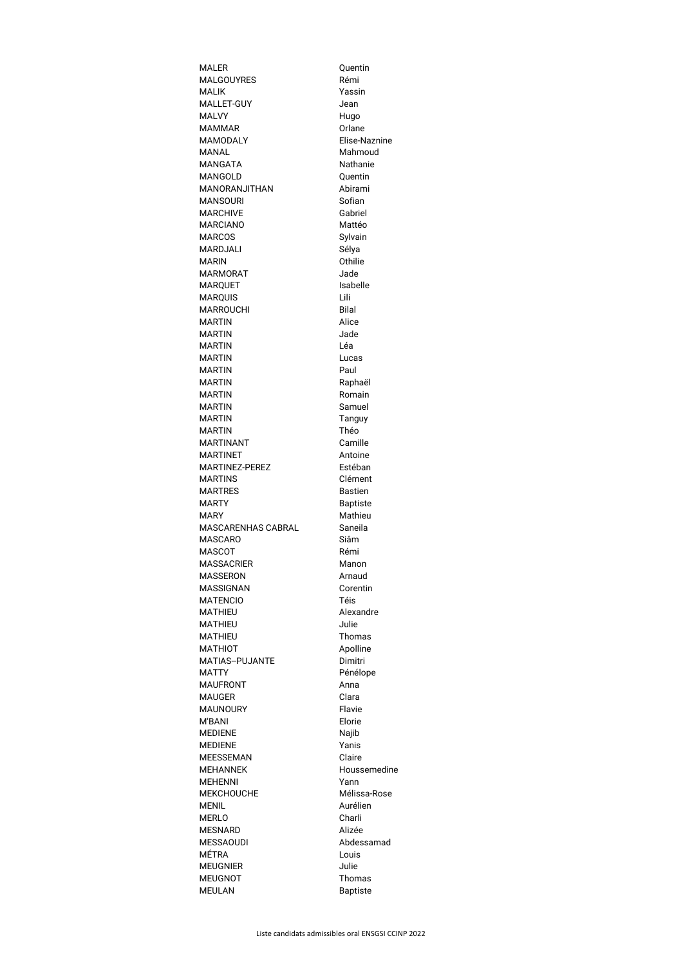| <b>MALER</b>                    | Quentin                   |
|---------------------------------|---------------------------|
| <b>MALGOUYRES</b>               | Rémi                      |
| <b>MALIK</b>                    | Yassin                    |
| MALLET-GUY                      | Jean                      |
| <b>MALVY</b>                    | Hugo                      |
| <b>MAMMAR</b>                   | Orlane                    |
| <b>MAMODALY</b>                 | Elise-Naznine             |
| <b>MANAL</b>                    | Mahmoud                   |
| <b>MANGATA</b>                  | <b>Nathanie</b>           |
| <b>MANGOLD</b>                  | Quentin                   |
| <b>MANORANJITHAN</b>            | Abirami                   |
| <b>MANSOURI</b>                 | Sofian                    |
| <b>MARCHIVE</b>                 | Gabriel                   |
| <b>MARCIANO</b>                 | Mattéo                    |
| <b>MARCOS</b>                   | Sylvain                   |
| <b>MARDJALI</b>                 | Sélya                     |
| <b>MARIN</b>                    | Othilie                   |
| <b>MARMORAT</b>                 | Jade                      |
| <b>MARQUET</b>                  | Isabelle                  |
| <b>MARQUIS</b>                  | Lili                      |
| <b>MARROUCHI</b>                | <b>Bilal</b>              |
| <b>MARTIN</b>                   | Alice                     |
| <b>MARTIN</b>                   | Jade                      |
| <b>MARTIN</b>                   | Léa                       |
| <b>MARTIN</b>                   | Lucas                     |
| <b>MARTIN</b>                   | Paul                      |
| <b>MARTIN</b>                   | Raphaël                   |
| <b>MARTIN</b>                   | Romain                    |
| <b>MARTIN</b>                   | Samuel                    |
| <b>MARTIN</b>                   | Tanguy                    |
| <b>MARTIN</b>                   | Théo                      |
| <b>MARTINANT</b>                | Camille                   |
| <b>MARTINET</b>                 | Antoine                   |
| <b>MARTINEZ-PEREZ</b>           | Estéban                   |
| <b>MARTINS</b>                  | Clément                   |
| <b>MARTRES</b>                  | <b>Bastien</b>            |
|                                 |                           |
|                                 |                           |
| <b>MARTY</b>                    | <b>Baptiste</b>           |
| <b>MARY</b>                     | Mathieu                   |
| <b>MASCARENHAS CABRAL</b>       | Saneila                   |
| <b>MASCARO</b>                  | Siâm                      |
| <b>MASCOT</b>                   | Rémi                      |
| <b>MASSACRIER</b>               | Manon                     |
| <b>MASSERON</b>                 | Arnaud                    |
| <b>MASSIGNAN</b>                | Corentin                  |
| <b>MATENCIO</b>                 | Téis                      |
| <b>MATHIEU</b>                  | Alexandre                 |
| <b>MATHIEU</b>                  | Julie                     |
| <b>MATHIEU</b>                  | <b>Thomas</b>             |
| <b>MATHIOT</b>                  | Apolline                  |
| <b>MATIAS--PUJANTE</b>          | Dimitri                   |
| <b>MATTY</b>                    | Pénélope                  |
| <b>MAUFRONT</b>                 | Anna                      |
| <b>MAUGER</b>                   | Clara                     |
| <b>MAUNOURY</b>                 | Flavie                    |
| M'BANI                          | Elorie                    |
| <b>MEDIENE</b>                  | Najib                     |
| <b>MEDIENE</b>                  | Yanis                     |
| <b>MEESSEMAN</b>                | Claire                    |
| <b>MEHANNEK</b>                 | Houssemedine              |
| <b>MEHENNI</b>                  | Yann                      |
| <b>MEKCHOUCHE</b>               | Mélissa-Rose              |
| <b>MENIL</b>                    | Aurélien                  |
| <b>MERLO</b>                    | Charli                    |
| <b>MESNARD</b>                  | Alizée                    |
| <b>MESSAOUDI</b>                | Abdessamad                |
| <b>MÉTRA</b>                    | Louis                     |
| <b>MEUGNIER</b>                 | Julie                     |
| <b>MEUGNOT</b><br><b>MEULAN</b> | Thomas<br><b>Baptiste</b> |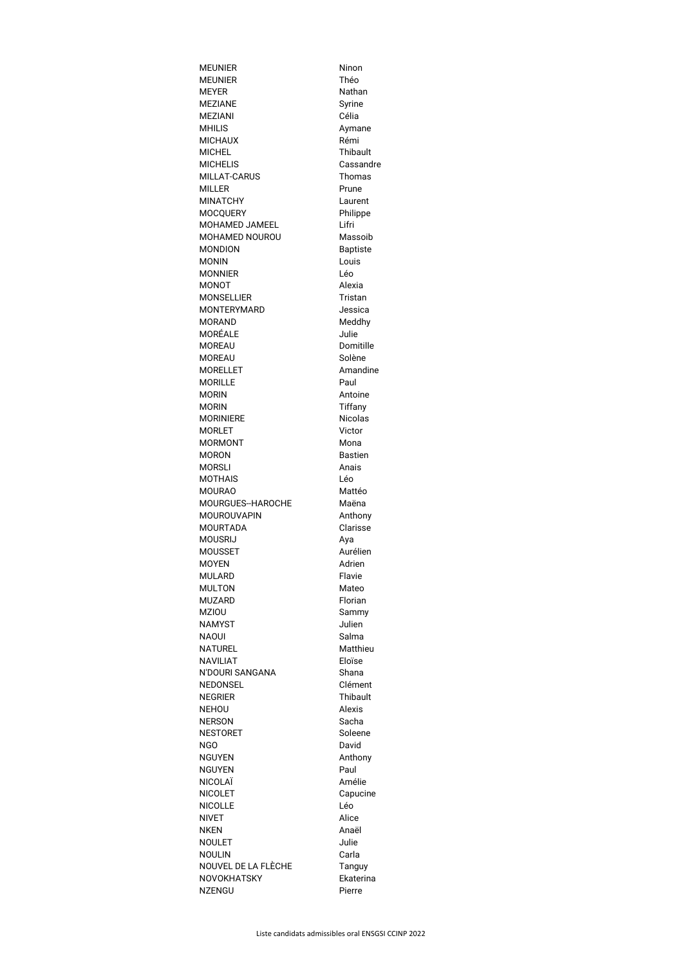| <b>MEUNIER</b>                           | Ninon                      |
|------------------------------------------|----------------------------|
| <b>MEUNIER</b>                           | Théo                       |
| <b>MEYER</b>                             | Nathan                     |
| <b>MEZIANE</b>                           | Syrine                     |
| <b>MEZIANI</b>                           | Célia                      |
| <b>MHILIS</b>                            | Aymane                     |
| <b>MICHAUX</b>                           | Rémi                       |
| <b>MICHEL</b>                            | <b>Thibault</b>            |
| <b>MICHELIS</b>                          | Cassandre                  |
| <b>MILLAT-CARUS</b>                      | Thomas                     |
| <b>MILLER</b>                            | Prune                      |
| <b>MINATCHY</b>                          | Laurent                    |
| <b>MOCQUERY</b><br><b>MOHAMED JAMEEL</b> | Philippe<br>Lifri          |
| MOHAMED NOUROU                           | Massoib                    |
| <b>MONDION</b>                           | <b>Baptiste</b>            |
| <b>MONIN</b>                             | Louis                      |
| <b>MONNIER</b>                           | Léo                        |
| <b>MONOT</b>                             | Alexia                     |
| <b>MONSELLIER</b>                        | <b>Tristan</b>             |
| <b>MONTERYMARD</b>                       | Jessica                    |
| <b>MORAND</b>                            | Meddhy                     |
| MORÉALE                                  | Julie                      |
| <b>MOREAU</b>                            | Domitille                  |
| <b>MOREAU</b>                            | Solène                     |
| <b>MORELLET</b>                          | Amandine                   |
| <b>MORILLE</b>                           | Paul                       |
| <b>MORIN</b>                             | Antoine                    |
| <b>MORIN</b>                             | <b>Tiffany</b>             |
| <b>MORINIERE</b>                         | <b>Nicolas</b>             |
| <b>MORLET</b>                            | Victor                     |
| <b>MORMONT</b>                           | Mona                       |
| <b>MORON</b>                             | <b>Bastien</b>             |
| <b>MORSLI</b>                            | Anais                      |
| <b>MOTHAIS</b>                           | Léo                        |
| <b>MOURAO</b>                            | Mattéo                     |
| MOURGUES--HAROCHE                        | Maëna                      |
| MOUROUVAPIN                              | Anthony                    |
| <b>MOURTADA</b>                          | Clarisse                   |
| <b>MOUSRIJ</b>                           | Aya                        |
| <b>MOUSSET</b>                           | Aurélien                   |
| <b>MOYEN</b>                             | Adrien                     |
| <b>MULARD</b>                            | Flavie                     |
| <b>MULTON</b>                            | Mateo                      |
| MUZARD                                   | Florian                    |
| <b>MZIOU</b>                             | Sammy                      |
| <b>NAMYST</b>                            | Julien                     |
| NAOUI                                    | Salma                      |
| <b>NATUREL</b>                           | Matthieu                   |
| <b>NAVILIAT</b>                          | Eloïse                     |
| N'DOURI SANGANA                          | Shana                      |
| <b>NEDONSEL</b>                          | Clément                    |
| <b>NEGRIER</b>                           | <b>Thibault</b>            |
| <b>NEHOU</b>                             | Alexis                     |
| <b>NERSON</b>                            | Sacha                      |
| <b>NESTORET</b>                          | Soleene                    |
| NGO                                      | David                      |
| <b>NGUYEN</b>                            | Anthony                    |
| <b>NGUYEN</b>                            | Paul                       |
| NICOLAÏ                                  | Amélie                     |
| <b>NICOLET</b>                           | Capucine                   |
| <b>NICOLLE</b>                           | Léo                        |
| <b>NIVET</b>                             | Alice                      |
| <b>NKEN</b>                              | Anaël                      |
| <b>NOULET</b>                            | Julie                      |
| <b>NOULIN</b><br>NOUVEL DE LA FLÈCHE     | Carla                      |
| NOVOKHATSKY                              | <b>Tanguy</b><br>Ekaterina |
| <b>NZENGU</b>                            | Pierre                     |
|                                          |                            |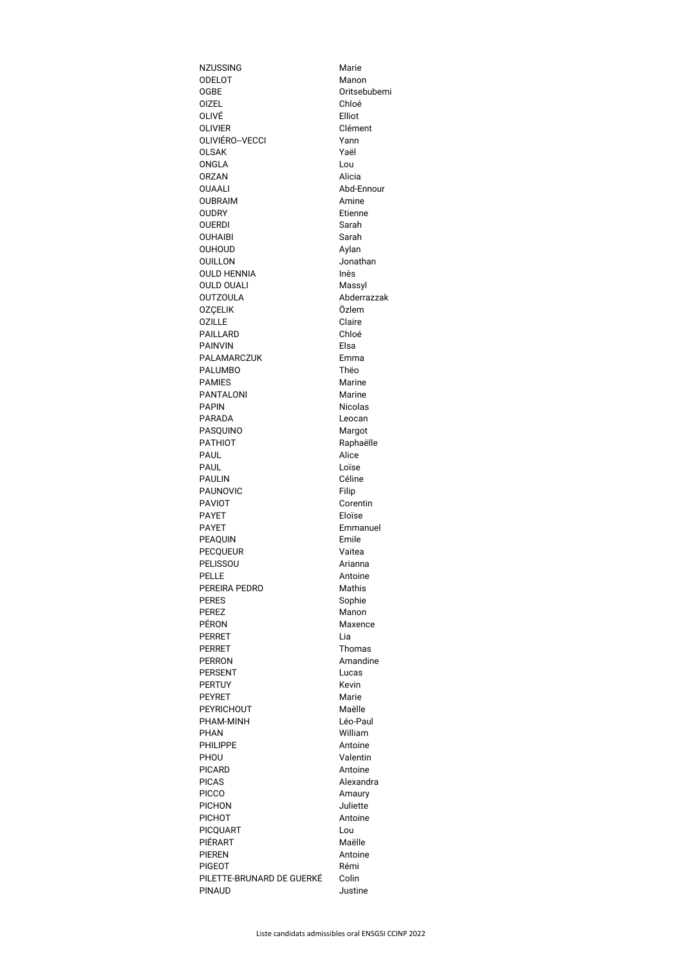| <b>NZUSSING</b>           | Marie          |
|---------------------------|----------------|
| <b>ODELOT</b>             | Manon          |
| <b>OGBE</b>               | Oritsebubemi   |
| <b>OIZEL</b>              | Chloé          |
| OLIVÉ                     | Elliot         |
| <b>OLIVIER</b>            | Clément        |
| OLIVIÉRO--VECCI           | Yann           |
| <b>OLSAK</b>              | Yaël           |
| <b>ONGLA</b>              | Lou            |
| <b>ORZAN</b>              | Alicia         |
| <b>OUAALI</b>             | Abd-Ennour     |
| <b>OUBRAIM</b>            | Amine          |
| <b>OUDRY</b>              | Etienne        |
| <b>OUERDI</b>             | Sarah          |
| <b>OUHAIBI</b>            | Sarah          |
| <b>OUHOUD</b>             | Aylan          |
| <b>OUILLON</b>            | Jonathan       |
| <b>OULD HENNIA</b>        | Inès           |
| <b>OULD OUALI</b>         | Massyl         |
| <b>OUTZOULA</b>           | Abderrazzak    |
| <b>OZÇELIK</b>            | Özlem          |
| <b>OZILLE</b>             | Claire         |
| <b>PAILLARD</b>           | Chloé          |
| <b>PAINVIN</b>            | Elsa           |
|                           |                |
| <b>PALAMARCZUK</b>        | Emma           |
| <b>PALUMBO</b>            | Thëo           |
| <b>PAMIES</b>             | <b>Marine</b>  |
| <b>PANTALONI</b>          | Marine         |
| <b>PAPIN</b>              | <b>Nicolas</b> |
| <b>PARADA</b>             | Leocan         |
| <b>PASQUINO</b>           | Margot         |
| <b>PATHIOT</b>            | Raphaëlle      |
| <b>PAUL</b>               | Alice          |
| <b>PAUL</b>               | Loïse          |
| <b>PAULIN</b>             | Céline         |
| <b>PAUNOVIC</b>           | Filip          |
| <b>PAVIOT</b>             | Corentin       |
| <b>PAYET</b>              | Eloïse         |
| <b>PAYET</b>              | Emmanuel       |
| <b>PEAQUIN</b>            | Emile          |
| <b>PECQUEUR</b>           | Vaitea         |
| <b>PELISSOU</b>           | Arianna        |
| <b>PELLE</b>              | Antoine        |
| PEREIRA PEDRO             | <b>Mathis</b>  |
| <b>PERES</b>              | Sophie         |
| <b>PEREZ</b>              | Manon          |
| <b>PÉRON</b>              | Maxence        |
| <b>PERRET</b>             | Lia            |
| <b>PERRET</b>             | Thomas         |
| <b>PERRON</b>             | Amandine       |
| <b>PERSENT</b>            | Lucas          |
| <b>PERTUY</b>             | <b>Kevin</b>   |
| <b>PEYRET</b>             | Marie          |
| <b>PEYRICHOUT</b>         | Maëlle         |
| PHAM-MINH                 | Léo-Paul       |
| <b>PHAN</b>               | William        |
| <b>PHILIPPE</b>           | Antoine        |
| PHOU                      | Valentin       |
| <b>PICARD</b>             | Antoine        |
| <b>PICAS</b>              | Alexandra      |
| <b>PICCO</b>              | Amaury         |
| <b>PICHON</b>             | Juliette       |
| <b>PICHOT</b>             | Antoine        |
| <b>PICQUART</b>           | Lou            |
| <b>PIÉRART</b>            | Maëlle         |
|                           |                |
| <b>PIEREN</b>             | Antoine        |
| <b>PIGEOT</b>             | Rémi           |
| PILETTE-BRUNARD DE GUERKÉ | Colin          |
| <b>PINAUD</b>             | Justine        |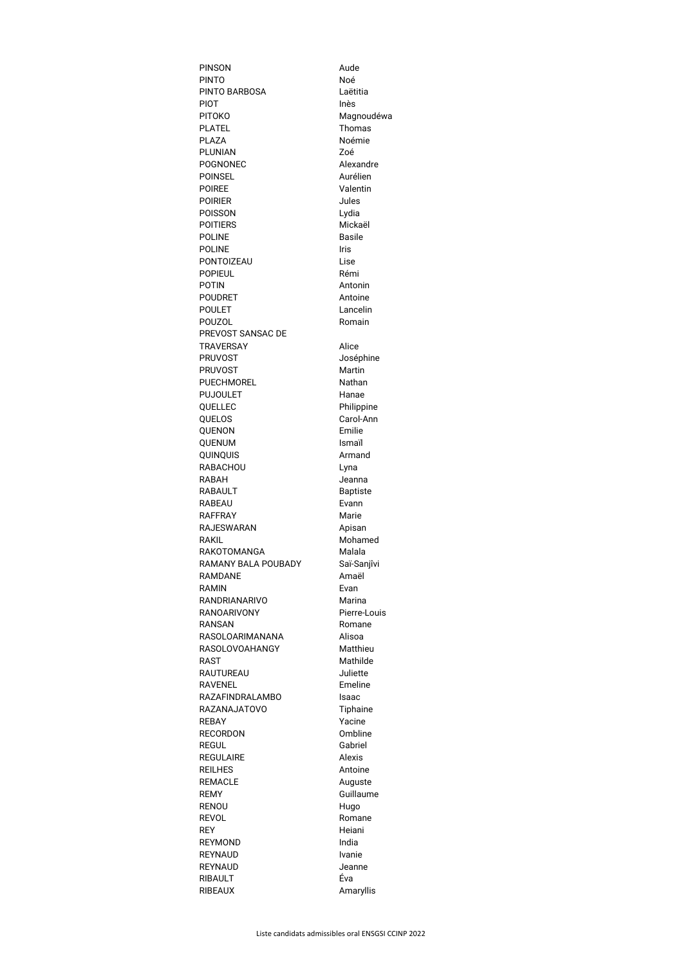| <b>PINSON</b>                        | Aude                 |
|--------------------------------------|----------------------|
| <b>PINTO</b>                         | Noé                  |
| <b>PINTO BARBOSA</b>                 | Laëtitia             |
| <b>PIOT</b>                          | Inès                 |
| <b>PITOKO</b>                        | Magnoudéwa           |
| <b>PLATEL</b>                        | <b>Thomas</b>        |
| <b>PLAZA</b><br><b>PLUNIAN</b>       | Noémie<br>Zoé        |
| <b>POGNONEC</b>                      | Alexandre            |
| <b>POINSEL</b>                       | Aurélien             |
| <b>POIREE</b>                        | Valentin             |
| <b>POIRIER</b>                       | Jules                |
| <b>POISSON</b>                       | Lydia                |
| <b>POITIERS</b>                      | Mickaël              |
| <b>POLINE</b>                        | <b>Basile</b>        |
| <b>POLINE</b>                        | Iris                 |
| <b>PONTOIZEAU</b>                    | Lise                 |
| <b>POPIEUL</b>                       | Rémi                 |
| <b>POTIN</b>                         | Antonin              |
| <b>POUDRET</b><br><b>POULET</b>      | Antoine<br>Lancelin  |
| <b>POUZOL</b>                        | Romain               |
| PREVOST SANSAC DE                    |                      |
| <b>TRAVERSAY</b>                     | Alice                |
| <b>PRUVOST</b>                       | Joséphine            |
| <b>PRUVOST</b>                       | <b>Martin</b>        |
| <b>PUECHMOREL</b>                    | Nathan               |
| <b>PUJOULET</b>                      | Hanae                |
| QUELLEC                              | Philippine           |
| <b>QUELOS</b>                        | Carol-Ann            |
| <b>QUENON</b>                        | Emilie               |
| <b>QUENUM</b>                        | <b>Ismail</b>        |
| QUINQUIS                             | Armand               |
| <b>RABACHOU</b><br><b>RABAH</b>      | Lyna<br>Jeanna       |
| <b>RABAULT</b>                       | <b>Baptiste</b>      |
| <b>RABEAU</b>                        | Evann                |
| <b>RAFFRAY</b>                       | Marie                |
| <b>RAJESWARAN</b>                    | Apisan               |
| RAKIL                                | Mohamed              |
| <b>RAKOTOMANGA</b>                   | Malala               |
| RAMANY BALA POUBADY                  | Saï-Sanjîvi          |
| <b>RAMDANE</b>                       | Amaël                |
| <b>RAMIN</b>                         | Evan                 |
| RANDRIANARIVO                        | Marina               |
| <b>RANOARIVONY</b><br><b>RANSAN</b>  | Pierre-Louis         |
|                                      |                      |
|                                      | Romane               |
| <b>RASOLOARIMANANA</b>               | Alisoa               |
| <b>RASOLOVOAHANGY</b><br><b>RAST</b> | Matthieu             |
| <b>RAUTUREAU</b>                     | Mathilde<br>Juliette |
| <b>RAVENEL</b>                       | Emeline              |
| <b>RAZAFINDRALAMBO</b>               | <b>Isaac</b>         |
| <b>RAZANAJATOVO</b>                  | Tiphaine             |
| <b>REBAY</b>                         | Yacine               |
| <b>RECORDON</b>                      | Ombline              |
| <b>REGUL</b>                         | Gabriel              |
| <b>REGULAIRE</b>                     | <b>Alexis</b>        |
| <b>REILHES</b>                       | Antoine              |
| <b>REMACLE</b>                       | Auguste              |
| <b>REMY</b>                          | Guillaume            |
| <b>RENOU</b><br><b>REVOL</b>         | Hugo<br>Romane       |
| <b>REY</b>                           | Heiani               |
| <b>REYMOND</b>                       | India                |
| <b>REYNAUD</b>                       | <b>Ivanie</b>        |
| <b>REYNAUD</b>                       | Jeanne               |
| <b>RIBAULT</b><br><b>RIBEAUX</b>     | Éva<br>Amaryllis     |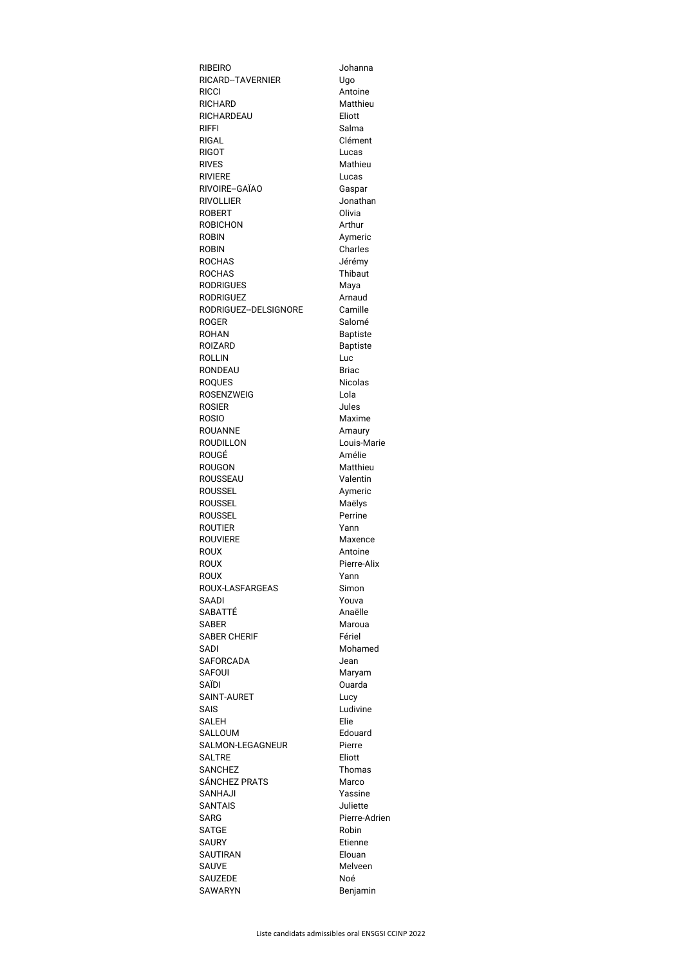| <b>RIBEIRO</b>                 | Johanna           |
|--------------------------------|-------------------|
| <b>RICARD--TAVERNIER</b>       | Ugo               |
| <b>RICCI</b>                   | Antoine           |
| <b>RICHARD</b>                 | Matthieu          |
| <b>RICHARDEAU</b>              | Eliott            |
| <b>RIFFI</b>                   | Salma             |
| <b>RIGAL</b>                   | Clément           |
| <b>RIGOT</b>                   | Lucas             |
| <b>RIVES</b>                   | Mathieu           |
| <b>RIVIERE</b>                 | Lucas             |
| RIVOIRE--GAÏAO                 | Gaspar            |
| <b>RIVOLLIER</b>               | Jonathan          |
| <b>ROBERT</b>                  | Olivia            |
| <b>ROBICHON</b>                | Arthur            |
| <b>ROBIN</b>                   | Aymeric           |
| <b>ROBIN</b>                   | <b>Charles</b>    |
| <b>ROCHAS</b>                  | Jérémy            |
| <b>ROCHAS</b>                  | <b>Thibaut</b>    |
| <b>RODRIGUES</b>               | Maya              |
| <b>RODRIGUEZ</b>               | Arnaud            |
| RODRIGUEZ--DELSIGNORE          | Camille           |
| <b>ROGER</b>                   | Salomé            |
| <b>ROHAN</b>                   | <b>Baptiste</b>   |
| <b>ROIZARD</b>                 | <b>Baptiste</b>   |
| <b>ROLLIN</b>                  | Luc               |
| <b>RONDEAU</b>                 | <b>Briac</b>      |
| <b>ROQUES</b>                  | <b>Nicolas</b>    |
| <b>ROSENZWEIG</b>              | Lola              |
| <b>ROSIER</b>                  | Jules             |
| <b>ROSIO</b>                   | Maxime            |
| <b>ROUANNE</b>                 | Amaury            |
| <b>ROUDILLON</b>               | Louis-Marie       |
| ROUGÉ                          | Amélie            |
| <b>ROUGON</b>                  | Matthieu          |
| ROUSSEAU                       | Valentin          |
| <b>ROUSSEL</b>                 | Aymeric           |
| <b>ROUSSEL</b>                 | Maëlys            |
| <b>ROUSSEL</b>                 | Perrine           |
| <b>ROUTIER</b>                 | Yann              |
| <b>ROUVIERE</b>                | Maxence           |
| <b>ROUX</b>                    | Antoine           |
| <b>ROUX</b>                    | Pierre-Alix       |
| <b>ROUX</b>                    |                   |
| <b>ROUX-LASFARGEAS</b>         | Yann<br>Simon     |
| SAADI                          | Youva             |
| SABATTÉ                        | Anaëlle           |
|                                |                   |
| SABER                          | Maroua            |
| <b>SABER CHERIF</b>            | Fériel<br>Mohamed |
| SADI<br><b>SAFORCADA</b>       |                   |
|                                | Jean              |
| <b>SAFOUI</b><br>SAÏDI         | Maryam<br>Ouarda  |
| SAINT-AURET                    |                   |
| <b>SAIS</b>                    | Lucy<br>Ludivine  |
|                                |                   |
| <b>SALEH</b><br><b>SALLOUM</b> | Elie              |
|                                | Edouard           |
| SALMON-LEGAGNEUR               | Pierre            |
| <b>SALTRE</b>                  | Eliott            |
| <b>SANCHEZ</b>                 | <b>Thomas</b>     |
| SÁNCHEZ PRATS                  | Marco             |
| SANHAJI                        | Yassine           |
| SANTAIS                        | Juliette          |
| SARG                           | Pierre-Adrien     |
| <b>SATGE</b>                   | Robin             |
| SAURY                          | Etienne           |
| <b>SAUTIRAN</b>                | Elouan            |
| SAUVE                          | Melveen           |
| SAUZEDE                        | Noé               |
| <b>SAWARYN</b>                 | Benjamin          |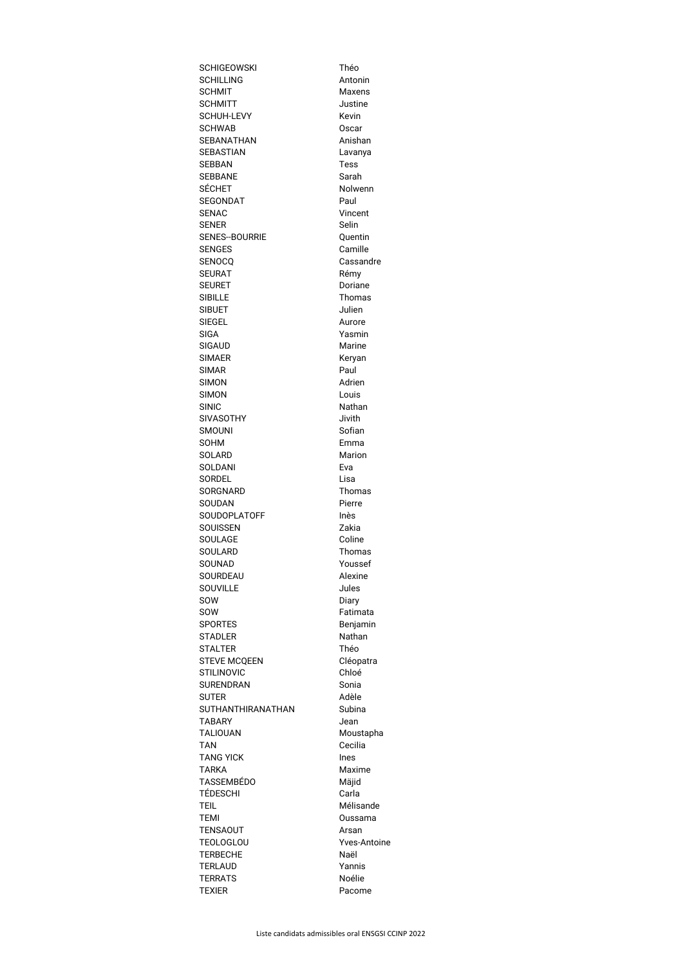| <b>SCHIGEOWSKI</b>       | Théo               |
|--------------------------|--------------------|
| <b>SCHILLING</b>         | Antonin            |
| <b>SCHMIT</b>            | Maxens             |
| <b>SCHMITT</b>           | Justine            |
| <b>SCHUH-LEVY</b>        | Kevin              |
| <b>SCHWAB</b>            | <b>Oscar</b>       |
| <b>SEBANATHAN</b>        | Anishan            |
| <b>SEBASTIAN</b>         | Lavanya            |
| <b>SEBBAN</b>            | <b>Tess</b>        |
| <b>SEBBANE</b>           | Sarah              |
| <b>SÉCHET</b>            | Nolwenn            |
| <b>SEGONDAT</b>          | Paul               |
| <b>SENAC</b>             | Vincent            |
| <b>SENER</b>             | <b>Selin</b>       |
| <b>SENES--BOURRIE</b>    | Quentin            |
| <b>SENGES</b>            | Camille            |
| <b>SENOCQ</b>            | Cassandre          |
| <b>SEURAT</b>            | Rémy               |
| <b>SEURET</b>            | Doriane            |
| <b>SIBILLE</b>           | Thomas             |
| <b>SIBUET</b>            | Julien             |
| <b>SIEGEL</b>            | Aurore             |
| <b>SIGA</b>              | Yasmin             |
| <b>SIGAUD</b>            | <b>Marine</b>      |
| <b>SIMAER</b>            | Keryan             |
| <b>SIMAR</b>             | Paul               |
| <b>SIMON</b>             | Adrien             |
| <b>SIMON</b>             | Louis              |
| <b>SINIC</b>             | <b>Nathan</b>      |
| <b>SIVASOTHY</b>         | Jivith             |
| <b>SMOUNI</b>            | Sofian             |
| <b>SOHM</b>              | Emma               |
| <b>SOLARD</b>            | <b>Marion</b>      |
| <b>SOLDANI</b>           | Eva                |
| <b>SORDEL</b>            | Lisa               |
| <b>SORGNARD</b>          | Thomas             |
| <b>SOUDAN</b>            | Pierre             |
| <b>SOUDOPLATOFF</b>      | Inès               |
| <b>SOUISSEN</b>          | Zakia              |
| <b>SOULAGE</b>           | Coline             |
| <b>SOULARD</b>           | <b>Thomas</b>      |
| <b>SOUNAD</b>            | Youssef            |
| <b>SOURDEAU</b>          | Alexine            |
| <b>SOUVILLE</b>          | Jules              |
| SOW                      | Diary              |
| SOW                      | Fatimata           |
| <b>SPORTES</b>           | Benjamin           |
| <b>STADLER</b>           | Nathan             |
| <b>STALTER</b>           | Théo               |
| <b>STEVE MCQEEN</b>      | Cléopatra          |
| <b>STILINOVIC</b>        | Chloé              |
| <b>SURENDRAN</b>         | Sonia              |
| <b>SUTER</b>             | Adèle              |
| <b>SUTHANTHIRANATHAN</b> | Subina             |
| <b>TABARY</b>            | Jean               |
| <b>TALIOUAN</b>          | Moustapha          |
| <b>TAN</b>               | Cecilia            |
| <b>TANG YICK</b>         | Ines               |
| <b>TARKA</b>             | Maxime             |
| <b>TASSEMBÉDO</b>        | Mäjid              |
| <b>TÉDESCHI</b>          | Carla              |
| <b>TEIL</b>              | Mélisande          |
| <b>TEMI</b>              | Oussama            |
| <b>TENSAOUT</b>          | Arsan              |
| <b>TEOLOGLOU</b>         | <b>Yves-Antoin</b> |
| <b>TERBECHE</b>          | Naël               |
| <b>TERLAUD</b>           | Yannis             |
| <b>TERRATS</b>           | Noélie             |
| <b>TEXIER</b>            | Pacome             |
|                          |                    |

ne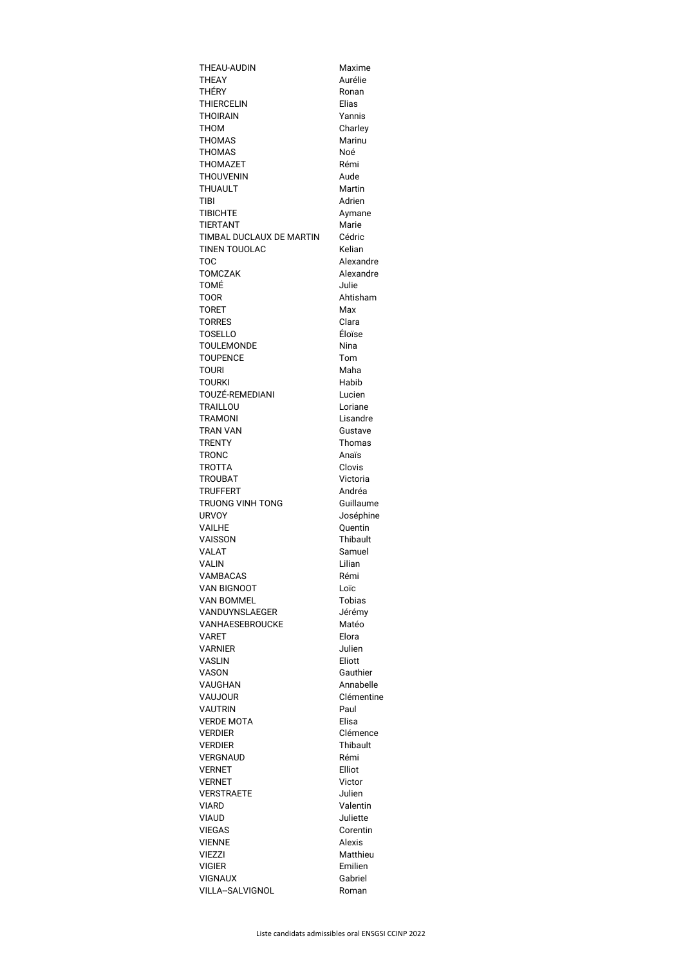| <b>THEAU-AUDIN</b>                | Maxime                   |
|-----------------------------------|--------------------------|
| <b>THEAY</b>                      | Aurélie                  |
| <b>THÉRY</b>                      | Ronan                    |
| <b>THIERCELIN</b>                 | Elias                    |
| <b>THOIRAIN</b><br><b>THOM</b>    | Yannis                   |
| <b>THOMAS</b>                     | Charley<br><b>Marinu</b> |
| <b>THOMAS</b>                     | Noé                      |
| <b>THOMAZET</b>                   | Rémi                     |
| <b>THOUVENIN</b>                  | Aude                     |
| <b>THUAULT</b>                    | <b>Martin</b>            |
| TIBI                              | Adrien                   |
| <b>TIBICHTE</b>                   | Aymane                   |
| <b>TIERTANT</b>                   | Marie                    |
| TIMBAL DUCLAUX DE MARTIN          | Cédric                   |
| <b>TINEN TOUOLAC</b>              | Kelian                   |
| <b>TOC</b>                        | Alexandre                |
| <b>TOMCZAK</b>                    | Alexandre                |
| <b>TOMÉ</b>                       | Julie                    |
| <b>TOOR</b><br><b>TORET</b>       | Ahtisham<br>Max          |
| <b>TORRES</b>                     | Clara                    |
| <b>TOSELLO</b>                    | Éloïse                   |
| <b>TOULEMONDE</b>                 | <b>Nina</b>              |
| <b>TOUPENCE</b>                   | Tom                      |
| <b>TOURI</b>                      | Maha                     |
| <b>TOURKI</b>                     | Habib                    |
| TOUZÉ-REMEDIANI                   | Lucien                   |
| <b>TRAILLOU</b>                   | Loriane                  |
| <b>TRAMONI</b>                    | Lisandre                 |
| <b>TRAN VAN</b>                   | Gustave                  |
| <b>TRENTY</b>                     | <b>Thomas</b>            |
| <b>TRONC</b>                      | Anaïs<br>Clovis          |
| <b>TROTTA</b><br><b>TROUBAT</b>   | Victoria                 |
| <b>TRUFFERT</b>                   | Andréa                   |
| <b>TRUONG VINH TONG</b>           | Guillaume                |
| <b>URVOY</b>                      | Joséphine                |
| <b>VAILHE</b>                     | Quentin                  |
| <b>VAISSON</b>                    | <b>Thibault</b>          |
| <b>VALAT</b>                      | Samuel                   |
| <b>VALIN</b>                      | Lilian                   |
| <b>VAMBACAS</b>                   | Rémi                     |
| <b>VAN BIGNOOT</b>                | Loïc                     |
| <b>VAN BOMMEL</b>                 | <b>Tobias</b>            |
| VANDUYNSLAEGER<br>VANHAESEBROUCKE | Jérémy<br>Matéo          |
| <b>VARET</b>                      | Elora                    |
| <b>VARNIER</b>                    | Julien                   |
| <b>VASLIN</b>                     | Eliott                   |
| <b>VASON</b>                      | Gauthier                 |
| <b>VAUGHAN</b>                    | Annabelle                |
| <b>VAUJOUR</b>                    | Clémentine               |
| <b>VAUTRIN</b>                    | Paul                     |
| <b>VERDE MOTA</b>                 | Elisa                    |
| <b>VERDIER</b>                    | Clémence                 |
| <b>VERDIER</b>                    | <b>Thibault</b>          |
| <b>VERGNAUD</b><br><b>VERNET</b>  | Rémi<br>Elliot           |
| <b>VERNET</b>                     | Victor                   |
| <b>VERSTRAETE</b>                 | Julien                   |
| <b>VIARD</b>                      | Valentin                 |
| <b>VIAUD</b>                      | Juliette                 |
| <b>VIEGAS</b>                     | Corentin                 |
| <b>VIENNE</b>                     | <b>Alexis</b>            |
| <b>VIEZZI</b>                     | Matthieu                 |
| <b>VIGIER</b>                     | Emilien                  |
| <b>VIGNAUX</b>                    | Gabriel                  |
| <b>VILLA--SALVIGNOL</b>           | Roman                    |